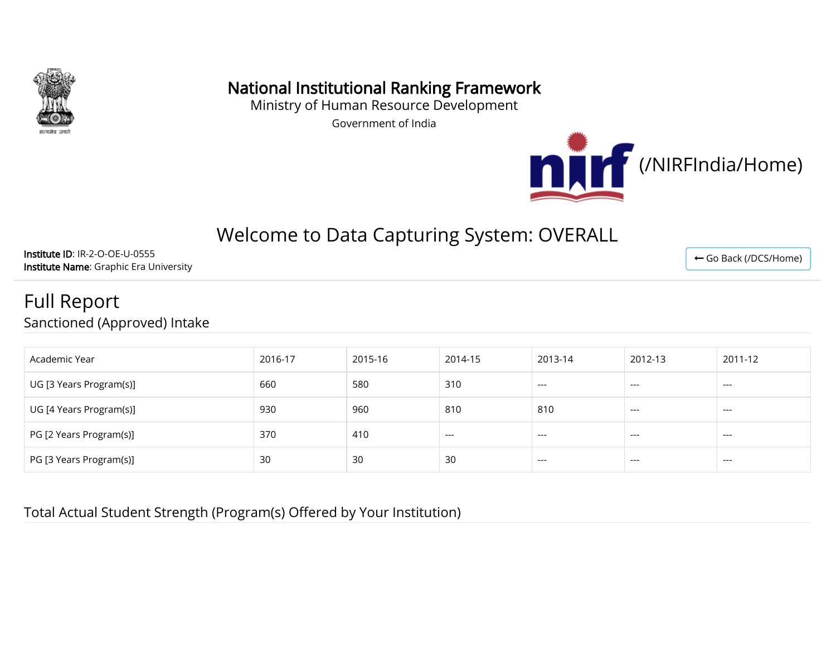

# National Institutional Ranking Framework

Ministry of Human Resource Development

Government of India



# Welcome to Data Capturing System: OVERALL

Institute ID: IR-2-O-OE-U-0555 Institute Name: Graphic Era University

#### Full Report Sanctioned (Approved) Intake

| Academic Year           | 2016-17 | 2015-16 | 2014-15 | 2013-14 | 2012-13 | 2011-12 |
|-------------------------|---------|---------|---------|---------|---------|---------|
| UG [3 Years Program(s)] | 660     | 580     | 310     | $---$   | $---$   | $---$   |
| UG [4 Years Program(s)] | 930     | 960     | 810     | 810     | $---$   | $---$   |
| PG [2 Years Program(s)] | 370     | 410     | $---$   | $---$   | $---$   | $---$   |
| PG [3 Years Program(s)] | 30      | 30      | 30      | $---$   | $---$   | $---$   |

Total Actual Student Strength (Program(s) Offered by Your Institution)

← [Go Back \(/DCS/Home\)](http://nirfweb.cloudapp.net/DCS/Home)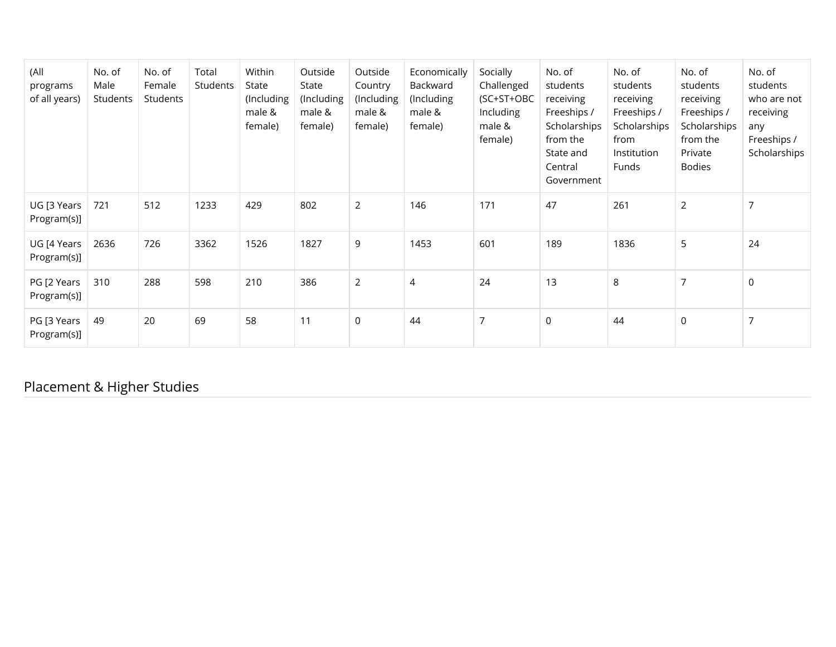| (All<br>programs<br>of all years) | No. of<br>Male<br>Students | No. of<br>Female<br>Students | Total<br>Students | Within<br>State<br>(Including<br>male &<br>female) | Outside<br>State<br>(Including<br>male &<br>female) | Outside<br>Country<br>(Including<br>male &<br>female) | Economically<br>Backward<br>(Including<br>male &<br>female) | Socially<br>Challenged<br>(SC+ST+OBC<br>Including<br>male &<br>female) | No. of<br>students<br>receiving<br>Freeships /<br>Scholarships<br>from the<br>State and<br>Central<br>Government | No. of<br>students<br>receiving<br>Freeships /<br>Scholarships<br>from<br>Institution<br>Funds | No. of<br>students<br>receiving<br>Freeships /<br>Scholarships<br>from the<br>Private<br>Bodies | No. of<br>students<br>who are not<br>receiving<br>any<br>Freeships /<br>Scholarships |
|-----------------------------------|----------------------------|------------------------------|-------------------|----------------------------------------------------|-----------------------------------------------------|-------------------------------------------------------|-------------------------------------------------------------|------------------------------------------------------------------------|------------------------------------------------------------------------------------------------------------------|------------------------------------------------------------------------------------------------|-------------------------------------------------------------------------------------------------|--------------------------------------------------------------------------------------|
| UG [3 Years<br>Program(s)]        | 721                        | 512                          | 1233              | 429                                                | 802                                                 | $\overline{2}$                                        | 146                                                         | 171                                                                    | 47                                                                                                               | 261                                                                                            | $\overline{2}$                                                                                  | 7                                                                                    |
| UG [4 Years<br>Program(s)]        | 2636                       | 726                          | 3362              | 1526                                               | 1827                                                | 9                                                     | 1453                                                        | 601                                                                    | 189                                                                                                              | 1836                                                                                           | 5                                                                                               | 24                                                                                   |
| PG [2 Years<br>Program(s)]        | 310                        | 288                          | 598               | 210                                                | 386                                                 | $\overline{2}$                                        | 4                                                           | 24                                                                     | 13                                                                                                               | $\,8\,$                                                                                        | $\overline{7}$                                                                                  | $\mathbf 0$                                                                          |
| PG [3 Years<br>Program(s)]        | 49                         | 20                           | 69                | 58                                                 | 11                                                  | $\mathbf 0$                                           | 44                                                          | $\overline{7}$                                                         | $\mathsf{O}$                                                                                                     | 44                                                                                             | $\mathsf 0$                                                                                     | 7                                                                                    |

Placement & Higher Studies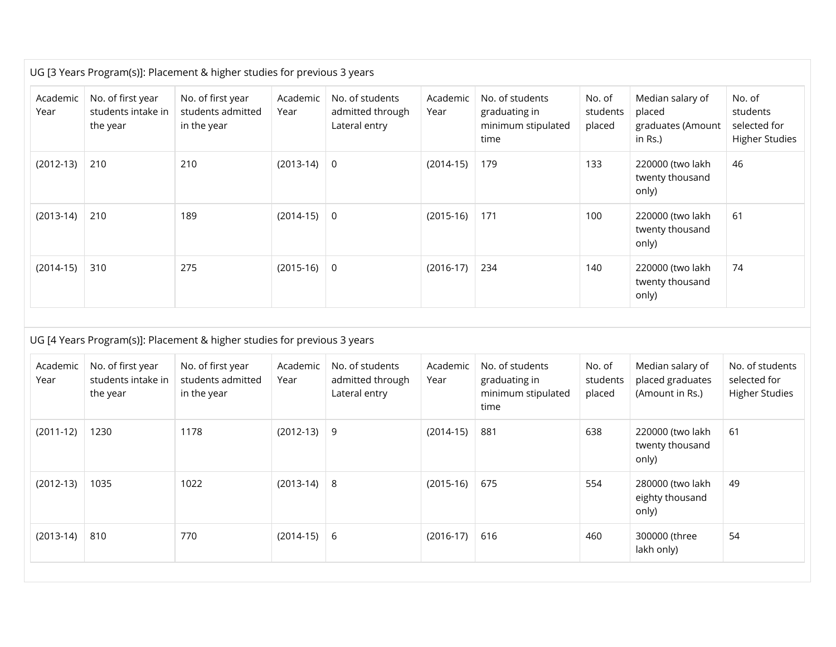|                  |                                                     | UG [3 Years Program(s)]: Placement & higher studies for previous 3 years |                  |                                                      |                  |                                                                |                              |                                                            |                                                             |
|------------------|-----------------------------------------------------|--------------------------------------------------------------------------|------------------|------------------------------------------------------|------------------|----------------------------------------------------------------|------------------------------|------------------------------------------------------------|-------------------------------------------------------------|
| Academic<br>Year | No. of first year<br>students intake in<br>the year | No. of first year<br>students admitted<br>in the year                    | Academic<br>Year | No. of students<br>admitted through<br>Lateral entry | Academic<br>Year | No. of students<br>graduating in<br>minimum stipulated<br>time | No. of<br>students<br>placed | Median salary of<br>placed<br>graduates (Amount<br>in Rs.) | No. of<br>students<br>selected for<br><b>Higher Studies</b> |
| $(2012-13)$      | 210                                                 | 210                                                                      | $(2013-14)$      | $\mathsf{O}$                                         | $(2014-15)$      | 179                                                            | 133                          | 220000 (two lakh<br>twenty thousand<br>only)               | 46                                                          |
| $(2013-14)$      | 210                                                 | 189                                                                      | $(2014-15)$      | $\overline{0}$                                       | $(2015-16)$      | 171                                                            | 100                          | 220000 (two lakh<br>twenty thousand<br>only)               | 61                                                          |
| $(2014-15)$      | 310                                                 | 275                                                                      | $(2015-16)$      | $\mathsf{O}$                                         | $(2016-17)$      | 234                                                            | 140                          | 220000 (two lakh<br>twenty thousand<br>only)               | 74                                                          |
|                  |                                                     |                                                                          |                  |                                                      |                  |                                                                |                              |                                                            |                                                             |
|                  |                                                     | UG [4 Years Program(s)]: Placement & higher studies for previous 3 years |                  |                                                      |                  |                                                                |                              |                                                            |                                                             |
| Academic<br>Year | No. of first year<br>students intake in<br>the year | No. of first year<br>students admitted<br>in the year                    | Academic<br>Year | No. of students<br>admitted through<br>Lateral entry | Academic<br>Year | No. of students<br>graduating in<br>minimum stipulated<br>time | No. of<br>students<br>placed | Median salary of<br>placed graduates<br>(Amount in Rs.)    | No. of students<br>selected for<br><b>Higher Studies</b>    |
| $(2011-12)$      | 1230                                                | 1178                                                                     | $(2012-13)$      | 9                                                    | $(2014-15)$      | 881                                                            | 638                          | 220000 (two lakh<br>twenty thousand<br>only)               | 61                                                          |
| $(2012-13)$      | 1035                                                | 1022                                                                     | $(2013-14)$      | 8                                                    | $(2015-16)$      | 675                                                            | 554                          | 280000 (two lakh<br>eighty thousand<br>only)               | 49                                                          |
| $(2013-14)$      | 810                                                 | 770                                                                      | $(2014-15)$      | 6                                                    | $(2016-17)$      | 616                                                            | 460                          | 300000 (three<br>lakh only)                                | 54                                                          |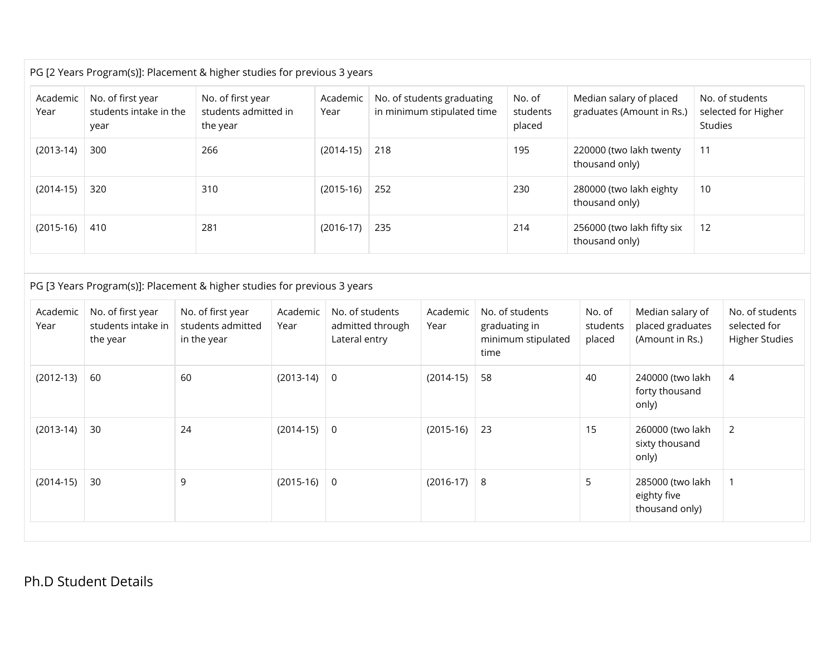| Academic<br>Year | No. of first year<br>students intake in the<br>year | No. of first year<br>students admitted in<br>the year                                                                             |                  | Academic<br>Year                 |                  | No. of students graduating<br>in minimum stipulated time |      | No. of<br>students<br>placed                           | Median salary of placed                      | graduates (Amount in Rs.)                               | Studies | No. of students<br>selected for Higher                   |
|------------------|-----------------------------------------------------|-----------------------------------------------------------------------------------------------------------------------------------|------------------|----------------------------------|------------------|----------------------------------------------------------|------|--------------------------------------------------------|----------------------------------------------|---------------------------------------------------------|---------|----------------------------------------------------------|
| $(2013-14)$      | 300                                                 | 266                                                                                                                               |                  | $(2014-15)$                      | 218              |                                                          |      | 195                                                    | 220000 (two lakh twenty<br>thousand only)    |                                                         | 11      |                                                          |
| $(2014-15)$      | 320                                                 | 310                                                                                                                               |                  | $(2015-16)$                      | 252              |                                                          |      | 230                                                    | 280000 (two lakh eighty<br>thousand only)    |                                                         | 10      |                                                          |
| $(2015-16)$      | 410                                                 | 281                                                                                                                               |                  | $(2016-17)$                      | 235              |                                                          |      | 214                                                    | 256000 (two lakh fifty six<br>thousand only) |                                                         | 12      |                                                          |
| Academic<br>Year | No. of first year<br>students intake in<br>the year | PG [3 Years Program(s)]: Placement & higher studies for previous 3 years<br>No. of first year<br>students admitted<br>in the year | Academic<br>Year | No. of students<br>Lateral entry | admitted through | Academic<br>Year                                         | time | No. of students<br>graduating in<br>minimum stipulated | No. of<br>students<br>placed                 | Median salary of<br>placed graduates<br>(Amount in Rs.) |         | No. of students<br>selected for<br><b>Higher Studies</b> |
| $(2012-13)$      | 60                                                  | 60                                                                                                                                | $(2013-14)$      | $\overline{0}$                   |                  | $(2014-15)$                                              | 58   |                                                        | 40                                           | 240000 (two lakh                                        |         | $\overline{4}$                                           |
|                  |                                                     |                                                                                                                                   |                  |                                  |                  |                                                          |      |                                                        |                                              | forty thousand<br>only)                                 |         |                                                          |
| $(2013-14)$      | 30                                                  | 24                                                                                                                                | $(2014-15)$      | $\overline{0}$                   |                  | $(2015-16)$                                              | 23   |                                                        | 15                                           | 260000 (two lakh<br>sixty thousand<br>only)             |         | $\overline{2}$                                           |
| $(2014-15)$      | 30                                                  | 9                                                                                                                                 | $(2015-16)$      | $\overline{0}$                   |                  | $(2016-17)$                                              | 8    |                                                        | 5                                            | 285000 (two lakh<br>eighty five                         |         | $\mathbf{1}$                                             |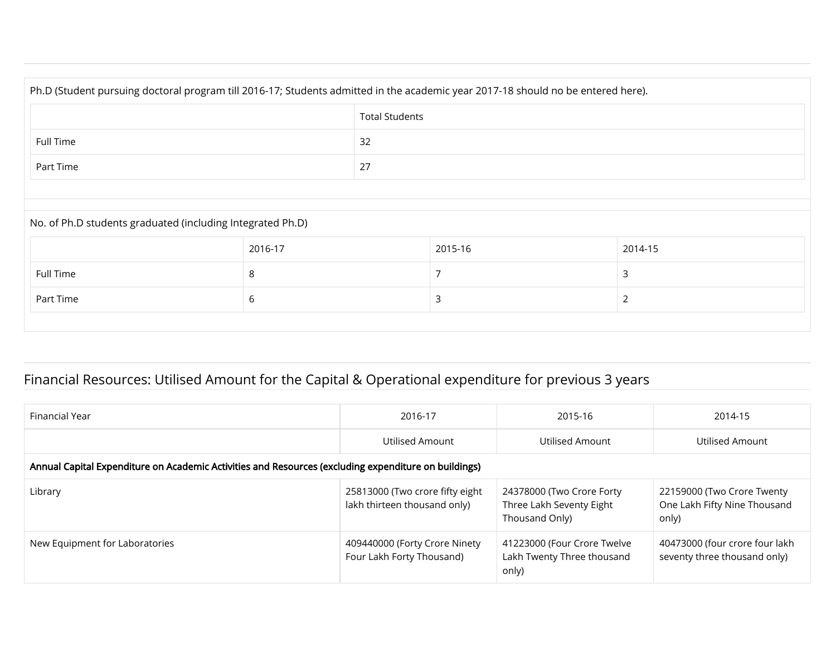| Ph.D (Student pursuing doctoral program till 2016-17; Students admitted in the academic year 2017-18 should no be entered here). |                          |  |         |         |  |  |  |  |  |
|----------------------------------------------------------------------------------------------------------------------------------|--------------------------|--|---------|---------|--|--|--|--|--|
| <b>Total Students</b>                                                                                                            |                          |  |         |         |  |  |  |  |  |
| 32<br>Full Time                                                                                                                  |                          |  |         |         |  |  |  |  |  |
| Part Time                                                                                                                        | 27                       |  |         |         |  |  |  |  |  |
|                                                                                                                                  |                          |  |         |         |  |  |  |  |  |
| No. of Ph.D students graduated (including Integrated Ph.D)                                                                       |                          |  |         |         |  |  |  |  |  |
|                                                                                                                                  | 2016-17                  |  | 2015-16 | 2014-15 |  |  |  |  |  |
| Full Time                                                                                                                        | 3<br>8                   |  |         |         |  |  |  |  |  |
| Part Time                                                                                                                        | 6<br>$\overline{2}$<br>3 |  |         |         |  |  |  |  |  |
|                                                                                                                                  |                          |  |         |         |  |  |  |  |  |

### Financial Resources: Utilised Amount for the Capital & Operational expenditure for previous 3 years

| Financial Year                                                                                       | 2016-17                                                         | 2015-16                                                                 | 2014-15                                                             |
|------------------------------------------------------------------------------------------------------|-----------------------------------------------------------------|-------------------------------------------------------------------------|---------------------------------------------------------------------|
|                                                                                                      | Utilised Amount                                                 | Utilised Amount                                                         | Utilised Amount                                                     |
| Annual Capital Expenditure on Academic Activities and Resources (excluding expenditure on buildings) |                                                                 |                                                                         |                                                                     |
| Library                                                                                              | 25813000 (Two crore fifty eight<br>lakh thirteen thousand only) | 24378000 (Two Crore Forty<br>Three Lakh Seventy Eight<br>Thousand Only) | 22159000 (Two Crore Twenty<br>One Lakh Fifty Nine Thousand<br>only) |
| New Equipment for Laboratories                                                                       | 409440000 (Forty Crore Ninety<br>Four Lakh Forty Thousand)      | 41223000 (Four Crore Twelve<br>Lakh Twenty Three thousand<br>only)      | 40473000 (four crore four lakh<br>seventy three thousand only)      |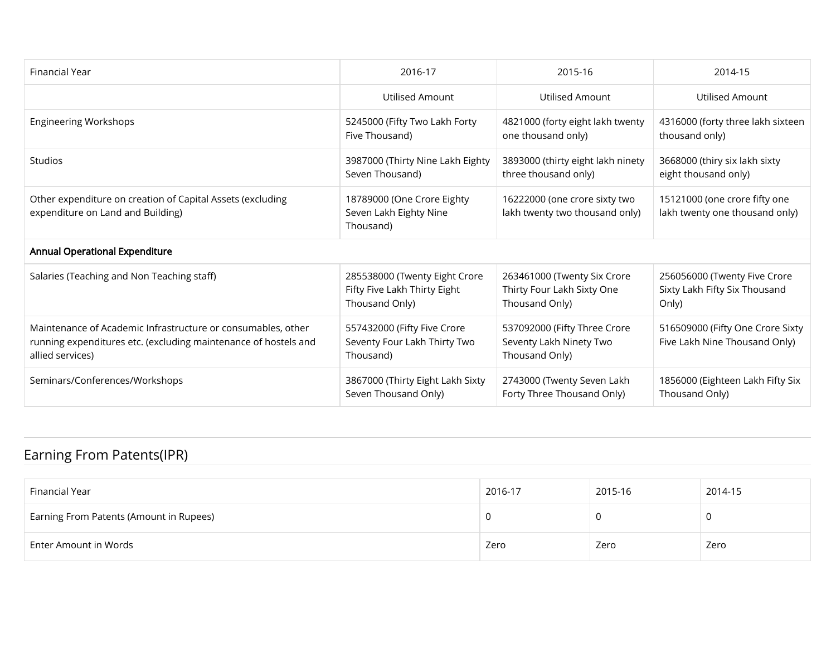| Financial Year                                                                                                                                      | 2016-17                                                                         | 2015-16                                                                     | 2014-15                                                                |
|-----------------------------------------------------------------------------------------------------------------------------------------------------|---------------------------------------------------------------------------------|-----------------------------------------------------------------------------|------------------------------------------------------------------------|
|                                                                                                                                                     | Utilised Amount                                                                 | Utilised Amount                                                             | Utilised Amount                                                        |
| <b>Engineering Workshops</b>                                                                                                                        | 5245000 (Fifty Two Lakh Forty<br>Five Thousand)                                 | 4821000 (forty eight lakh twenty<br>one thousand only)                      | 4316000 (forty three lakh sixteen<br>thousand only)                    |
| Studios                                                                                                                                             | 3987000 (Thirty Nine Lakh Eighty<br>Seven Thousand)                             | 3893000 (thirty eight lakh ninety<br>three thousand only)                   | 3668000 (thiry six lakh sixty<br>eight thousand only)                  |
| Other expenditure on creation of Capital Assets (excluding<br>expenditure on Land and Building)                                                     | 18789000 (One Crore Eighty<br>Seven Lakh Eighty Nine<br>Thousand)               | 16222000 (one crore sixty two<br>lakh twenty two thousand only)             | 15121000 (one crore fifty one<br>lakh twenty one thousand only)        |
| <b>Annual Operational Expenditure</b>                                                                                                               |                                                                                 |                                                                             |                                                                        |
| Salaries (Teaching and Non Teaching staff)                                                                                                          | 285538000 (Twenty Eight Crore<br>Fifty Five Lakh Thirty Eight<br>Thousand Only) | 263461000 (Twenty Six Crore<br>Thirty Four Lakh Sixty One<br>Thousand Only) | 256056000 (Twenty Five Crore<br>Sixty Lakh Fifty Six Thousand<br>Only) |
| Maintenance of Academic Infrastructure or consumables, other<br>running expenditures etc. (excluding maintenance of hostels and<br>allied services) | 557432000 (Fifty Five Crore<br>Seventy Four Lakh Thirty Two<br>Thousand)        | 537092000 (Fifty Three Crore<br>Seventy Lakh Ninety Two<br>Thousand Only)   | 516509000 (Fifty One Crore Sixty<br>Five Lakh Nine Thousand Only)      |
| Seminars/Conferences/Workshops                                                                                                                      | 3867000 (Thirty Eight Lakh Sixty<br>Seven Thousand Only)                        | 2743000 (Twenty Seven Lakh<br>Forty Three Thousand Only)                    | 1856000 (Eighteen Lakh Fifty Six<br>Thousand Only)                     |

## Earning From Patents(IPR)

| Financial Year                          | 2016-17 | 2015-16 | 2014-15 |
|-----------------------------------------|---------|---------|---------|
| Earning From Patents (Amount in Rupees) |         |         |         |
| Enter Amount in Words                   | Zero    | Zero    | Zero    |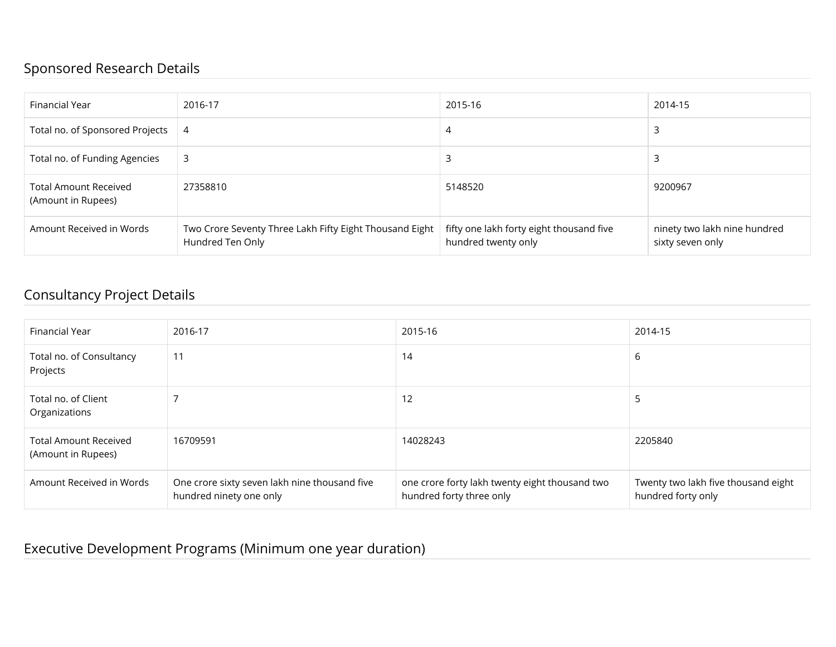#### Sponsored Research Details

| Financial Year                                     | 2016-17                                                                     | 2015-16                                                         | 2014-15                                          |
|----------------------------------------------------|-----------------------------------------------------------------------------|-----------------------------------------------------------------|--------------------------------------------------|
| Total no. of Sponsored Projects                    | 4                                                                           | 4                                                               |                                                  |
| Total no. of Funding Agencies                      | 3                                                                           |                                                                 |                                                  |
| <b>Total Amount Received</b><br>(Amount in Rupees) | 27358810                                                                    | 5148520                                                         | 9200967                                          |
| Amount Received in Words                           | Two Crore Seventy Three Lakh Fifty Eight Thousand Eight<br>Hundred Ten Only | fifty one lakh forty eight thousand five<br>hundred twenty only | ninety two lakh nine hundred<br>sixty seven only |

#### Consultancy Project Details

| Financial Year                                     | 2016-17                                                                  | 2015-16                                                                    | 2014-15                                                   |
|----------------------------------------------------|--------------------------------------------------------------------------|----------------------------------------------------------------------------|-----------------------------------------------------------|
| Total no. of Consultancy<br>Projects               | 11                                                                       | 14                                                                         | 6                                                         |
| Total no. of Client<br>Organizations               |                                                                          | 12                                                                         | э                                                         |
| <b>Total Amount Received</b><br>(Amount in Rupees) | 16709591                                                                 | 14028243                                                                   | 2205840                                                   |
| Amount Received in Words                           | One crore sixty seven lakh nine thousand five<br>hundred ninety one only | one crore forty lakh twenty eight thousand two<br>hundred forty three only | Twenty two lakh five thousand eight<br>hundred forty only |

#### Executive Development Programs (Minimum one year duration)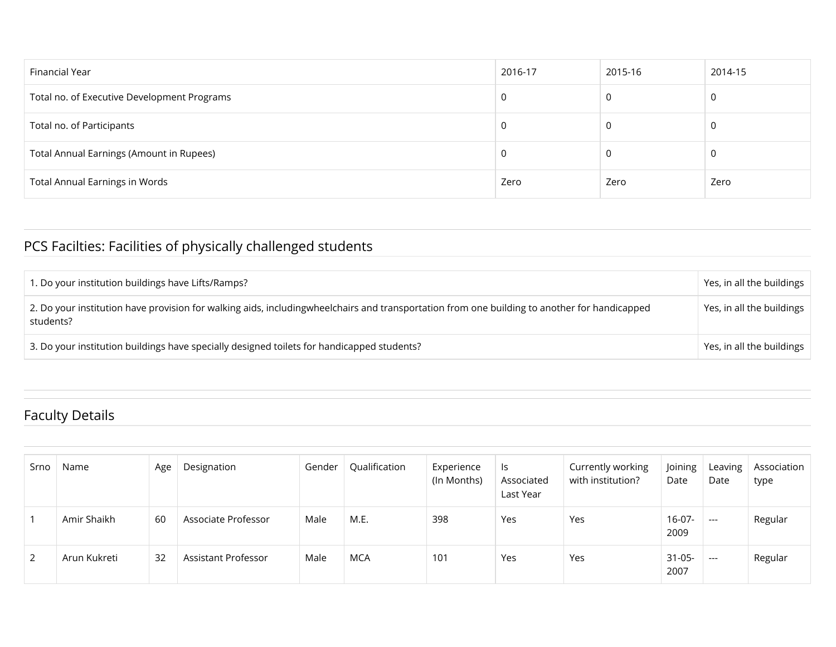| Financial Year                              | 2016-17 | 2015-16 | 2014-15 |
|---------------------------------------------|---------|---------|---------|
| Total no. of Executive Development Programs | 0       |         | 0       |
| Total no. of Participants                   | U       | υ       | 0       |
| Total Annual Earnings (Amount in Rupees)    | 0       |         | 0       |
| <b>Total Annual Earnings in Words</b>       | Zero    | Zero    | Zero    |

## PCS Facilties: Facilities of physically challenged students

| 1. Do your institution buildings have Lifts/Ramps?                                                                                                        | Yes, in all the buildings |
|-----------------------------------------------------------------------------------------------------------------------------------------------------------|---------------------------|
| 2. Do your institution have provision for walking aids, includingwheelchairs and transportation from one building to another for handicapped<br>students? | Yes, in all the buildings |
| 3. Do your institution buildings have specially designed toilets for handicapped students?                                                                | Yes, in all the buildings |

### Faculty Details

| Srno | Name         | Age | Designation         | Gender | Qualification | Experience<br>(In Months) | ls<br>Associated<br>Last Year | Currently working<br>with institution? | Joining<br>Date     | Leaving<br>Date | Association<br>type |
|------|--------------|-----|---------------------|--------|---------------|---------------------------|-------------------------------|----------------------------------------|---------------------|-----------------|---------------------|
|      | Amir Shaikh  | 60  | Associate Professor | Male   | M.E.          | 398                       | Yes                           | Yes                                    | $16-07-$<br>2009    | $---$           | Regular             |
| 2    | Arun Kukreti | 32  | Assistant Professor | Male   | MCA           | 101                       | Yes                           | Yes                                    | $31 - 05 -$<br>2007 | $---$           | Regular             |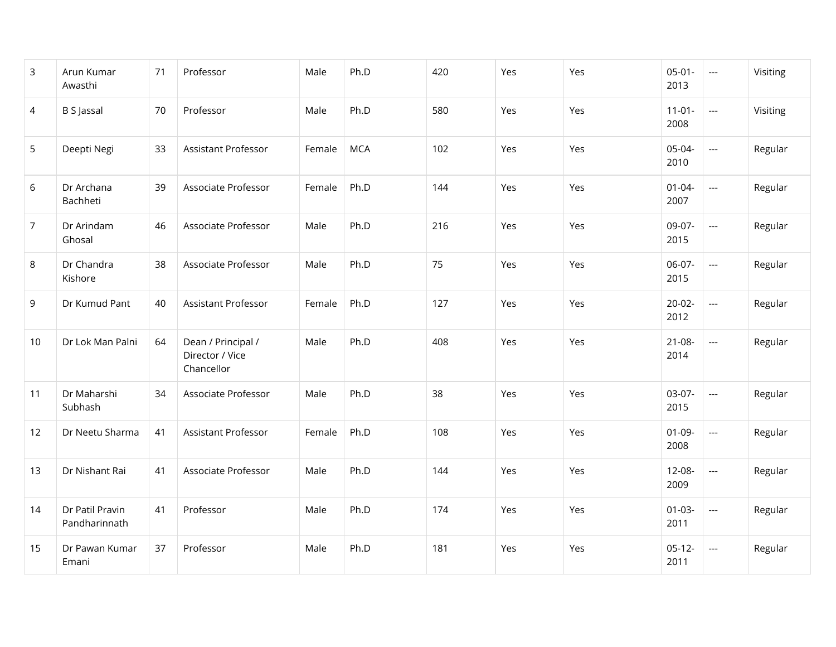| 3              | Arun Kumar<br>Awasthi            | 71 | Professor                                           | Male   | Ph.D       | 420 | Yes | Yes | $05-01-$<br>2013    | $\hspace{0.05cm} \ldots$ | Visiting |
|----------------|----------------------------------|----|-----------------------------------------------------|--------|------------|-----|-----|-----|---------------------|--------------------------|----------|
| 4              | <b>B S Jassal</b>                | 70 | Professor                                           | Male   | Ph.D       | 580 | Yes | Yes | $11-01-$<br>2008    | $\scriptstyle \cdots$    | Visiting |
| 5              | Deepti Negi                      | 33 | Assistant Professor                                 | Female | <b>MCA</b> | 102 | Yes | Yes | 05-04-<br>2010      | $\overline{\phantom{a}}$ | Regular  |
| 6              | Dr Archana<br>Bachheti           | 39 | Associate Professor                                 | Female | Ph.D       | 144 | Yes | Yes | $01 - 04 -$<br>2007 | $\overline{a}$           | Regular  |
| $\overline{7}$ | Dr Arindam<br>Ghosal             | 46 | Associate Professor                                 | Male   | Ph.D       | 216 | Yes | Yes | 09-07-<br>2015      | $\overline{\phantom{a}}$ | Regular  |
| 8              | Dr Chandra<br>Kishore            | 38 | Associate Professor                                 | Male   | Ph.D       | 75  | Yes | Yes | 06-07-<br>2015      | $\overline{\phantom{a}}$ | Regular  |
| 9              | Dr Kumud Pant                    | 40 | Assistant Professor                                 | Female | Ph.D       | 127 | Yes | Yes | $20-02-$<br>2012    | $\overline{\phantom{a}}$ | Regular  |
| 10             | Dr Lok Man Palni                 | 64 | Dean / Principal /<br>Director / Vice<br>Chancellor | Male   | Ph.D       | 408 | Yes | Yes | $21-08-$<br>2014    | $\overline{\phantom{a}}$ | Regular  |
| 11             | Dr Maharshi<br>Subhash           | 34 | Associate Professor                                 | Male   | Ph.D       | 38  | Yes | Yes | 03-07-<br>2015      | $\sim$                   | Regular  |
| 12             | Dr Neetu Sharma                  | 41 | <b>Assistant Professor</b>                          | Female | Ph.D       | 108 | Yes | Yes | $01-09-$<br>2008    | $\overline{\phantom{a}}$ | Regular  |
| 13             | Dr Nishant Rai                   | 41 | Associate Professor                                 | Male   | Ph.D       | 144 | Yes | Yes | $12 - 08 -$<br>2009 | $\overline{\phantom{a}}$ | Regular  |
| 14             | Dr Patil Pravin<br>Pandharinnath | 41 | Professor                                           | Male   | Ph.D       | 174 | Yes | Yes | $01 - 03 -$<br>2011 | $\hspace{0.05cm} \ldots$ | Regular  |
| 15             | Dr Pawan Kumar<br>Emani          | 37 | Professor                                           | Male   | Ph.D       | 181 | Yes | Yes | $05-12-$<br>2011    | ---                      | Regular  |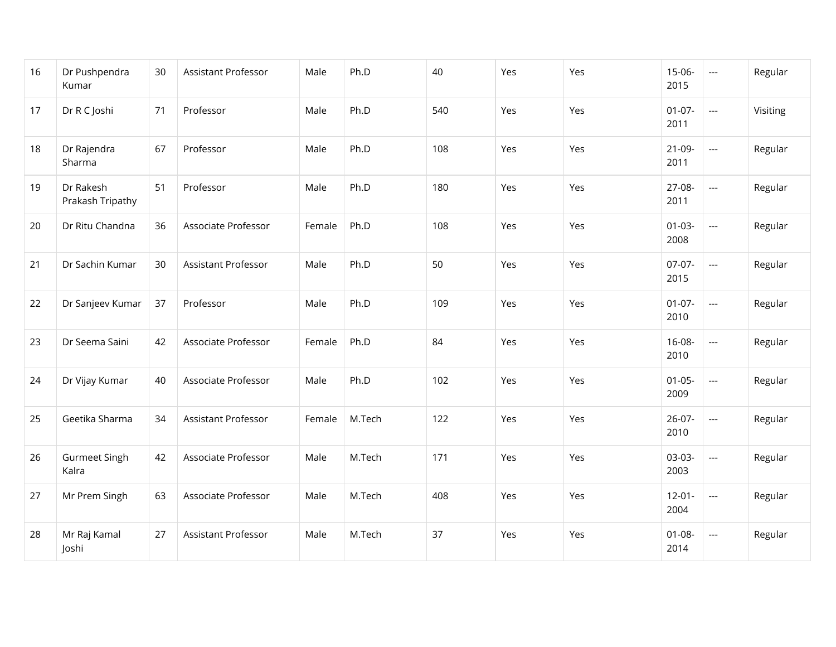| 16 | Dr Pushpendra<br>Kumar        | 30 | Assistant Professor | Male   | Ph.D   | 40  | Yes | Yes | 15-06-<br>2015      | $\overline{\phantom{a}}$ | Regular  |
|----|-------------------------------|----|---------------------|--------|--------|-----|-----|-----|---------------------|--------------------------|----------|
| 17 | Dr R C Joshi                  | 71 | Professor           | Male   | Ph.D   | 540 | Yes | Yes | $01-07-$<br>2011    | $\overline{\phantom{a}}$ | Visiting |
| 18 | Dr Rajendra<br>Sharma         | 67 | Professor           | Male   | Ph.D   | 108 | Yes | Yes | $21-09-$<br>2011    | $\overline{\phantom{a}}$ | Regular  |
| 19 | Dr Rakesh<br>Prakash Tripathy | 51 | Professor           | Male   | Ph.D   | 180 | Yes | Yes | 27-08-<br>2011      | $\overline{\phantom{a}}$ | Regular  |
| 20 | Dr Ritu Chandna               | 36 | Associate Professor | Female | Ph.D   | 108 | Yes | Yes | $01 - 03 -$<br>2008 | $\overline{\phantom{a}}$ | Regular  |
| 21 | Dr Sachin Kumar               | 30 | Assistant Professor | Male   | Ph.D   | 50  | Yes | Yes | 07-07-<br>2015      | $\overline{\phantom{a}}$ | Regular  |
| 22 | Dr Sanjeev Kumar              | 37 | Professor           | Male   | Ph.D   | 109 | Yes | Yes | $01-07-$<br>2010    | $\overline{\phantom{a}}$ | Regular  |
| 23 | Dr Seema Saini                | 42 | Associate Professor | Female | Ph.D   | 84  | Yes | Yes | 16-08-<br>2010      | $\overline{\phantom{a}}$ | Regular  |
| 24 | Dr Vijay Kumar                | 40 | Associate Professor | Male   | Ph.D   | 102 | Yes | Yes | $01 - 05 -$<br>2009 | $\overline{\phantom{a}}$ | Regular  |
| 25 | Geetika Sharma                | 34 | Assistant Professor | Female | M.Tech | 122 | Yes | Yes | $26-07-$<br>2010    | $\overline{\phantom{a}}$ | Regular  |
| 26 | Gurmeet Singh<br>Kalra        | 42 | Associate Professor | Male   | M.Tech | 171 | Yes | Yes | 03-03-<br>2003      | $\overline{\phantom{a}}$ | Regular  |
| 27 | Mr Prem Singh                 | 63 | Associate Professor | Male   | M.Tech | 408 | Yes | Yes | $12 - 01 -$<br>2004 | $\overline{\phantom{a}}$ | Regular  |
| 28 | Mr Raj Kamal<br>Joshi         | 27 | Assistant Professor | Male   | M.Tech | 37  | Yes | Yes | $01 - 08 -$<br>2014 | $\hspace{0.05cm} \ldots$ | Regular  |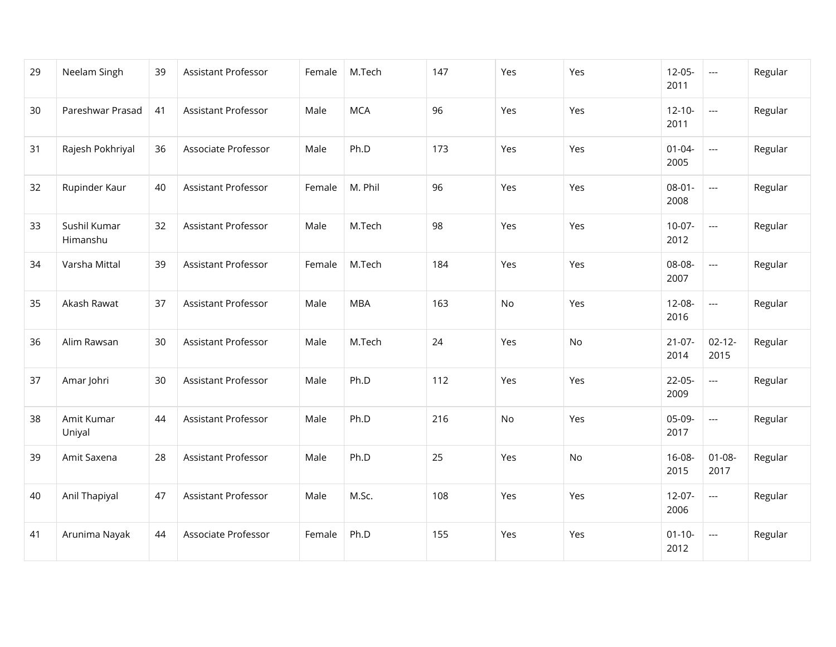| 29 | Neelam Singh             | 39 | Assistant Professor        | Female | M.Tech     | 147 | Yes | Yes | $12-05-$<br>2011    | $\hspace{0.05cm} \ldots$ | Regular |
|----|--------------------------|----|----------------------------|--------|------------|-----|-----|-----|---------------------|--------------------------|---------|
| 30 | Pareshwar Prasad         | 41 | Assistant Professor        | Male   | <b>MCA</b> | 96  | Yes | Yes | $12 - 10 -$<br>2011 | $\overline{a}$           | Regular |
| 31 | Rajesh Pokhriyal         | 36 | Associate Professor        | Male   | Ph.D       | 173 | Yes | Yes | $01 - 04 -$<br>2005 | $\overline{\phantom{a}}$ | Regular |
| 32 | Rupinder Kaur            | 40 | <b>Assistant Professor</b> | Female | M. Phil    | 96  | Yes | Yes | $08 - 01 -$<br>2008 | $\overline{a}$           | Regular |
| 33 | Sushil Kumar<br>Himanshu | 32 | <b>Assistant Professor</b> | Male   | M.Tech     | 98  | Yes | Yes | $10-07-$<br>2012    | $\overline{\phantom{a}}$ | Regular |
| 34 | Varsha Mittal            | 39 | Assistant Professor        | Female | M.Tech     | 184 | Yes | Yes | 08-08-<br>2007      | $\overline{a}$           | Regular |
| 35 | Akash Rawat              | 37 | <b>Assistant Professor</b> | Male   | <b>MBA</b> | 163 | No  | Yes | 12-08-<br>2016      | $\overline{a}$           | Regular |
| 36 | Alim Rawsan              | 30 | Assistant Professor        | Male   | M.Tech     | 24  | Yes | No  | $21-07-$<br>2014    | $02 - 12 -$<br>2015      | Regular |
| 37 | Amar Johri               | 30 | Assistant Professor        | Male   | Ph.D       | 112 | Yes | Yes | $22-05-$<br>2009    | $\overline{a}$           | Regular |
| 38 | Amit Kumar<br>Uniyal     | 44 | Assistant Professor        | Male   | Ph.D       | 216 | No  | Yes | 05-09-<br>2017      | $\overline{a}$           | Regular |
| 39 | Amit Saxena              | 28 | Assistant Professor        | Male   | Ph.D       | 25  | Yes | No  | $16 - 08 -$<br>2015 | $01 - 08 -$<br>2017      | Regular |
| 40 | Anil Thapiyal            | 47 | Assistant Professor        | Male   | M.Sc.      | 108 | Yes | Yes | $12-07-$<br>2006    | $\overline{\phantom{a}}$ | Regular |
| 41 | Arunima Nayak            | 44 | Associate Professor        | Female | Ph.D       | 155 | Yes | Yes | $01 - 10 -$<br>2012 | ---                      | Regular |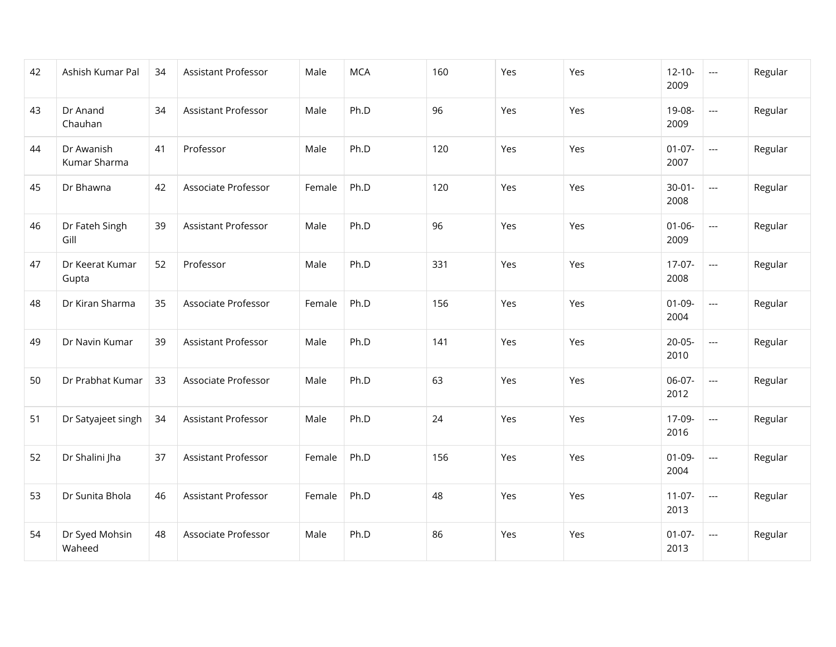| 42 | Ashish Kumar Pal           | 34 | Assistant Professor        | Male   | <b>MCA</b> | 160 | Yes | Yes | $12 - 10 -$<br>2009 | $\scriptstyle \cdots$    | Regular |
|----|----------------------------|----|----------------------------|--------|------------|-----|-----|-----|---------------------|--------------------------|---------|
| 43 | Dr Anand<br>Chauhan        | 34 | Assistant Professor        | Male   | Ph.D       | 96  | Yes | Yes | 19-08-<br>2009      | $\overline{a}$           | Regular |
| 44 | Dr Awanish<br>Kumar Sharma | 41 | Professor                  | Male   | Ph.D       | 120 | Yes | Yes | $01-07-$<br>2007    | $\overline{\phantom{a}}$ | Regular |
| 45 | Dr Bhawna                  | 42 | Associate Professor        | Female | Ph.D       | 120 | Yes | Yes | $30 - 01 -$<br>2008 | $\overline{a}$           | Regular |
| 46 | Dr Fateh Singh<br>Gill     | 39 | Assistant Professor        | Male   | Ph.D       | 96  | Yes | Yes | $01 - 06 -$<br>2009 | $\overline{a}$           | Regular |
| 47 | Dr Keerat Kumar<br>Gupta   | 52 | Professor                  | Male   | Ph.D       | 331 | Yes | Yes | $17-07-$<br>2008    | $\overline{a}$           | Regular |
| 48 | Dr Kiran Sharma            | 35 | Associate Professor        | Female | Ph.D       | 156 | Yes | Yes | $01-09-$<br>2004    | $\overline{a}$           | Regular |
| 49 | Dr Navin Kumar             | 39 | Assistant Professor        | Male   | Ph.D       | 141 | Yes | Yes | $20 - 05 -$<br>2010 | $\overline{a}$           | Regular |
| 50 | Dr Prabhat Kumar           | 33 | Associate Professor        | Male   | Ph.D       | 63  | Yes | Yes | 06-07-<br>2012      | $\overline{a}$           | Regular |
| 51 | Dr Satyajeet singh         | 34 | <b>Assistant Professor</b> | Male   | Ph.D       | 24  | Yes | Yes | 17-09-<br>2016      | $\overline{a}$           | Regular |
| 52 | Dr Shalini Jha             | 37 | Assistant Professor        | Female | Ph.D       | 156 | Yes | Yes | $01-09-$<br>2004    | $\hspace{0.05cm} \ldots$ | Regular |
| 53 | Dr Sunita Bhola            | 46 | Assistant Professor        | Female | Ph.D       | 48  | Yes | Yes | $11-07-$<br>2013    | $\overline{a}$           | Regular |
| 54 | Dr Syed Mohsin<br>Waheed   | 48 | Associate Professor        | Male   | Ph.D       | 86  | Yes | Yes | $01-07-$<br>2013    | $\scriptstyle \cdots$    | Regular |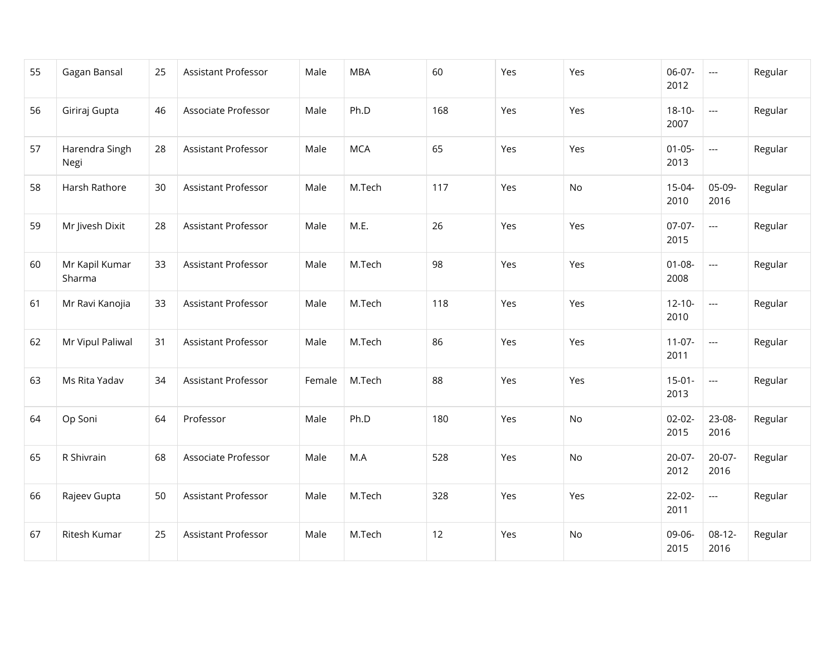| 55 | Gagan Bansal             | 25 | Assistant Professor        | Male   | <b>MBA</b> | 60  | Yes | Yes | 06-07-<br>2012      | $\hspace{0.05cm} \ldots$ | Regular |
|----|--------------------------|----|----------------------------|--------|------------|-----|-----|-----|---------------------|--------------------------|---------|
| 56 | Giriraj Gupta            | 46 | Associate Professor        | Male   | Ph.D       | 168 | Yes | Yes | $18 - 10 -$<br>2007 | $\overline{\phantom{a}}$ | Regular |
| 57 | Harendra Singh<br>Negi   | 28 | <b>Assistant Professor</b> | Male   | <b>MCA</b> | 65  | Yes | Yes | $01 - 05 -$<br>2013 | $\overline{\phantom{a}}$ | Regular |
| 58 | Harsh Rathore            | 30 | Assistant Professor        | Male   | M.Tech     | 117 | Yes | No  | 15-04-<br>2010      | 05-09-<br>2016           | Regular |
| 59 | Mr Jivesh Dixit          | 28 | Assistant Professor        | Male   | M.E.       | 26  | Yes | Yes | $07-07-$<br>2015    | $\overline{a}$           | Regular |
| 60 | Mr Kapil Kumar<br>Sharma | 33 | Assistant Professor        | Male   | M.Tech     | 98  | Yes | Yes | $01 - 08 -$<br>2008 | $\overline{\phantom{a}}$ | Regular |
| 61 | Mr Ravi Kanojia          | 33 | Assistant Professor        | Male   | M.Tech     | 118 | Yes | Yes | $12 - 10 -$<br>2010 | $\overline{\phantom{a}}$ | Regular |
| 62 | Mr Vipul Paliwal         | 31 | Assistant Professor        | Male   | M.Tech     | 86  | Yes | Yes | $11-07-$<br>2011    | $\overline{\phantom{a}}$ | Regular |
| 63 | Ms Rita Yadav            | 34 | Assistant Professor        | Female | M.Tech     | 88  | Yes | Yes | $15-01-$<br>2013    | $\overline{\phantom{a}}$ | Regular |
| 64 | Op Soni                  | 64 | Professor                  | Male   | Ph.D       | 180 | Yes | No  | $02 - 02 -$<br>2015 | 23-08-<br>2016           | Regular |
| 65 | R Shivrain               | 68 | Associate Professor        | Male   | M.A        | 528 | Yes | No  | $20-07-$<br>2012    | $20-07-$<br>2016         | Regular |
| 66 | Rajeev Gupta             | 50 | Assistant Professor        | Male   | M.Tech     | 328 | Yes | Yes | $22-02-$<br>2011    | $\overline{\phantom{a}}$ | Regular |
| 67 | Ritesh Kumar             | 25 | Assistant Professor        | Male   | M.Tech     | 12  | Yes | No  | 09-06-<br>2015      | $08-12-$<br>2016         | Regular |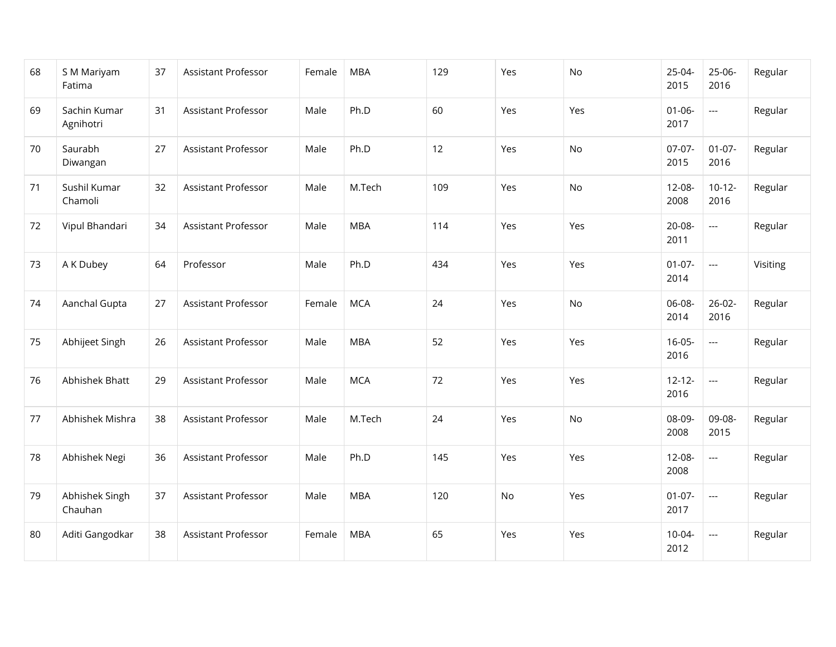| 68 | S M Mariyam<br>Fatima     | 37 | Assistant Professor        | Female | <b>MBA</b> | 129 | Yes | No  | 25-04-<br>2015      | $25-06-$<br>2016         | Regular  |
|----|---------------------------|----|----------------------------|--------|------------|-----|-----|-----|---------------------|--------------------------|----------|
| 69 | Sachin Kumar<br>Agnihotri | 31 | <b>Assistant Professor</b> | Male   | Ph.D       | 60  | Yes | Yes | $01 - 06 -$<br>2017 | $\overline{\phantom{a}}$ | Regular  |
| 70 | Saurabh<br>Diwangan       | 27 | <b>Assistant Professor</b> | Male   | Ph.D       | 12  | Yes | No  | $07-07-$<br>2015    | $01 - 07 -$<br>2016      | Regular  |
| 71 | Sushil Kumar<br>Chamoli   | 32 | <b>Assistant Professor</b> | Male   | M.Tech     | 109 | Yes | No  | 12-08-<br>2008      | $10-12-$<br>2016         | Regular  |
| 72 | Vipul Bhandari            | 34 | <b>Assistant Professor</b> | Male   | <b>MBA</b> | 114 | Yes | Yes | $20 - 08 -$<br>2011 | $\overline{a}$           | Regular  |
| 73 | A K Dubey                 | 64 | Professor                  | Male   | Ph.D       | 434 | Yes | Yes | $01-07-$<br>2014    | $\overline{a}$           | Visiting |
| 74 | Aanchal Gupta             | 27 | Assistant Professor        | Female | <b>MCA</b> | 24  | Yes | No  | 06-08-<br>2014      | $26 - 02 -$<br>2016      | Regular  |
| 75 | Abhijeet Singh            | 26 | <b>Assistant Professor</b> | Male   | <b>MBA</b> | 52  | Yes | Yes | $16-05-$<br>2016    | $\overline{a}$           | Regular  |
| 76 | Abhishek Bhatt            | 29 | Assistant Professor        | Male   | <b>MCA</b> | 72  | Yes | Yes | $12 - 12 -$<br>2016 | $\overline{a}$           | Regular  |
| 77 | Abhishek Mishra           | 38 | Assistant Professor        | Male   | M.Tech     | 24  | Yes | No  | 08-09-<br>2008      | 09-08-<br>2015           | Regular  |
| 78 | Abhishek Negi             | 36 | Assistant Professor        | Male   | Ph.D       | 145 | Yes | Yes | $12 - 08 -$<br>2008 | $\overline{\phantom{a}}$ | Regular  |
| 79 | Abhishek Singh<br>Chauhan | 37 | <b>Assistant Professor</b> | Male   | <b>MBA</b> | 120 | No  | Yes | $01-07-$<br>2017    | $\overline{a}$           | Regular  |
| 80 | Aditi Gangodkar           | 38 | Assistant Professor        | Female | <b>MBA</b> | 65  | Yes | Yes | $10-04-$<br>2012    | $\hspace{0.05cm} \ldots$ | Regular  |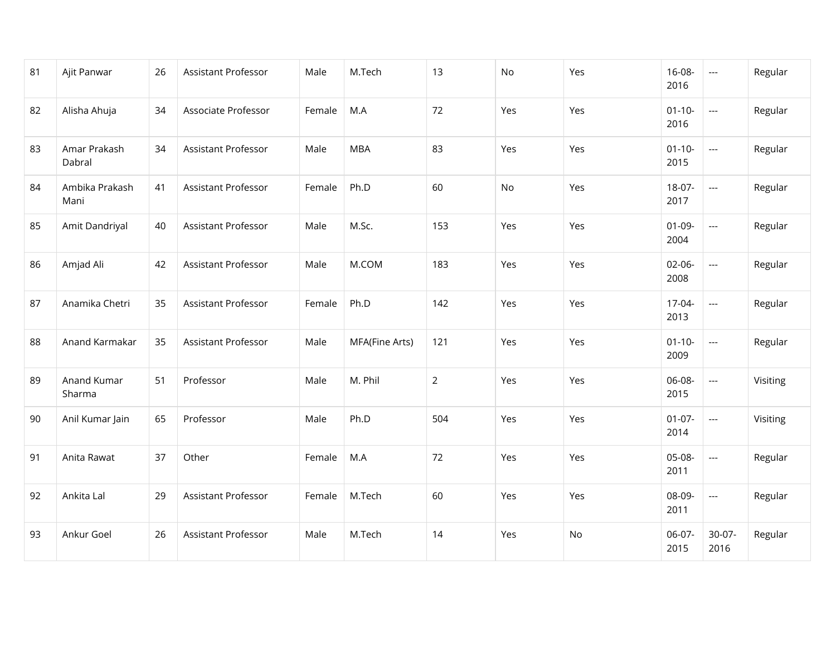| 81 | Ajit Panwar            | 26 | Assistant Professor        | Male   | M.Tech         | 13             | No  | Yes | $16 - 08 -$<br>2016 | $\hspace{0.05cm} \ldots$ | Regular  |
|----|------------------------|----|----------------------------|--------|----------------|----------------|-----|-----|---------------------|--------------------------|----------|
| 82 | Alisha Ahuja           | 34 | Associate Professor        | Female | M.A            | 72             | Yes | Yes | $01 - 10 -$<br>2016 | $\overline{\phantom{a}}$ | Regular  |
| 83 | Amar Prakash<br>Dabral | 34 | <b>Assistant Professor</b> | Male   | <b>MBA</b>     | 83             | Yes | Yes | $01 - 10 -$<br>2015 | $\overline{\phantom{a}}$ | Regular  |
| 84 | Ambika Prakash<br>Mani | 41 | Assistant Professor        | Female | Ph.D           | 60             | No  | Yes | 18-07-<br>2017      | $\overline{\phantom{a}}$ | Regular  |
| 85 | Amit Dandriyal         | 40 | Assistant Professor        | Male   | M.Sc.          | 153            | Yes | Yes | $01-09-$<br>2004    | $\overline{\phantom{a}}$ | Regular  |
| 86 | Amjad Ali              | 42 | <b>Assistant Professor</b> | Male   | M.COM          | 183            | Yes | Yes | $02 - 06 -$<br>2008 | $\overline{a}$           | Regular  |
| 87 | Anamika Chetri         | 35 | Assistant Professor        | Female | Ph.D           | 142            | Yes | Yes | 17-04-<br>2013      | $\cdots$                 | Regular  |
| 88 | Anand Karmakar         | 35 | Assistant Professor        | Male   | MFA(Fine Arts) | 121            | Yes | Yes | $01 - 10 -$<br>2009 | $\overline{a}$           | Regular  |
| 89 | Anand Kumar<br>Sharma  | 51 | Professor                  | Male   | M. Phil        | $\overline{2}$ | Yes | Yes | 06-08-<br>2015      | $\overline{\phantom{a}}$ | Visiting |
| 90 | Anil Kumar Jain        | 65 | Professor                  | Male   | Ph.D           | 504            | Yes | Yes | $01-07-$<br>2014    | $\overline{a}$           | Visiting |
| 91 | Anita Rawat            | 37 | Other                      | Female | M.A            | 72             | Yes | Yes | 05-08-<br>2011      | $\hspace{0.05cm}\ldots$  | Regular  |
| 92 | Ankita Lal             | 29 | Assistant Professor        | Female | M.Tech         | 60             | Yes | Yes | 08-09-<br>2011      | ---                      | Regular  |
| 93 | Ankur Goel             | 26 | Assistant Professor        | Male   | M.Tech         | 14             | Yes | No  | 06-07-<br>2015      | $30-07-$<br>2016         | Regular  |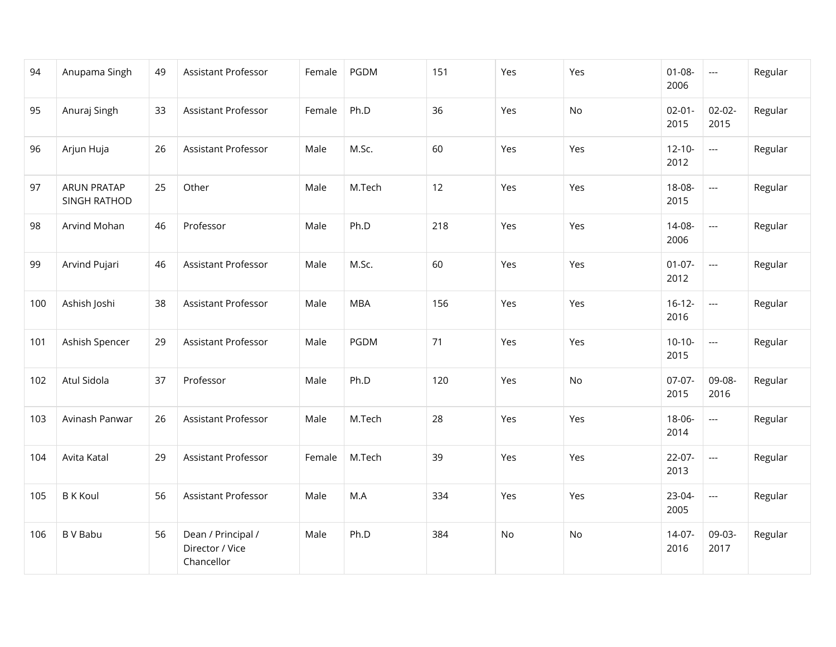| 94  | Anupama Singh               | 49 | Assistant Professor                                 | Female | PGDM       | 151 | Yes | Yes | $01 - 08 -$<br>2006 | $\scriptstyle\cdots$     | Regular |
|-----|-----------------------------|----|-----------------------------------------------------|--------|------------|-----|-----|-----|---------------------|--------------------------|---------|
| 95  | Anuraj Singh                | 33 | Assistant Professor                                 | Female | Ph.D       | 36  | Yes | No  | $02 - 01 -$<br>2015 | $02 - 02 -$<br>2015      | Regular |
| 96  | Arjun Huja                  | 26 | Assistant Professor                                 | Male   | M.Sc.      | 60  | Yes | Yes | $12 - 10 -$<br>2012 | $\overline{\phantom{a}}$ | Regular |
| 97  | ARUN PRATAP<br>SINGH RATHOD | 25 | Other                                               | Male   | M.Tech     | 12  | Yes | Yes | 18-08-<br>2015      | $\overline{\phantom{a}}$ | Regular |
| 98  | Arvind Mohan                | 46 | Professor                                           | Male   | Ph.D       | 218 | Yes | Yes | 14-08-<br>2006      | $\overline{\phantom{a}}$ | Regular |
| 99  | Arvind Pujari               | 46 | Assistant Professor                                 | Male   | M.Sc.      | 60  | Yes | Yes | $01-07-$<br>2012    | $\overline{\phantom{a}}$ | Regular |
| 100 | Ashish Joshi                | 38 | Assistant Professor                                 | Male   | <b>MBA</b> | 156 | Yes | Yes | $16 - 12 -$<br>2016 | $\overline{\phantom{a}}$ | Regular |
| 101 | Ashish Spencer              | 29 | Assistant Professor                                 | Male   | PGDM       | 71  | Yes | Yes | $10-10-$<br>2015    | $\overline{\phantom{a}}$ | Regular |
| 102 | Atul Sidola                 | 37 | Professor                                           | Male   | Ph.D       | 120 | Yes | No  | $07-07-$<br>2015    | 09-08-<br>2016           | Regular |
| 103 | Avinash Panwar              | 26 | <b>Assistant Professor</b>                          | Male   | M.Tech     | 28  | Yes | Yes | 18-06-<br>2014      | $\overline{\phantom{a}}$ | Regular |
| 104 | Avita Katal                 | 29 | Assistant Professor                                 | Female | M.Tech     | 39  | Yes | Yes | $22-07-$<br>2013    | $\overline{\phantom{a}}$ | Regular |
| 105 | <b>B</b> K Koul             | 56 | Assistant Professor                                 | Male   | M.A        | 334 | Yes | Yes | 23-04-<br>2005      | $\overline{\phantom{a}}$ | Regular |
| 106 | <b>BV Babu</b>              | 56 | Dean / Principal /<br>Director / Vice<br>Chancellor | Male   | Ph.D       | 384 | No  | No  | $14-07-$<br>2016    | 09-03-<br>2017           | Regular |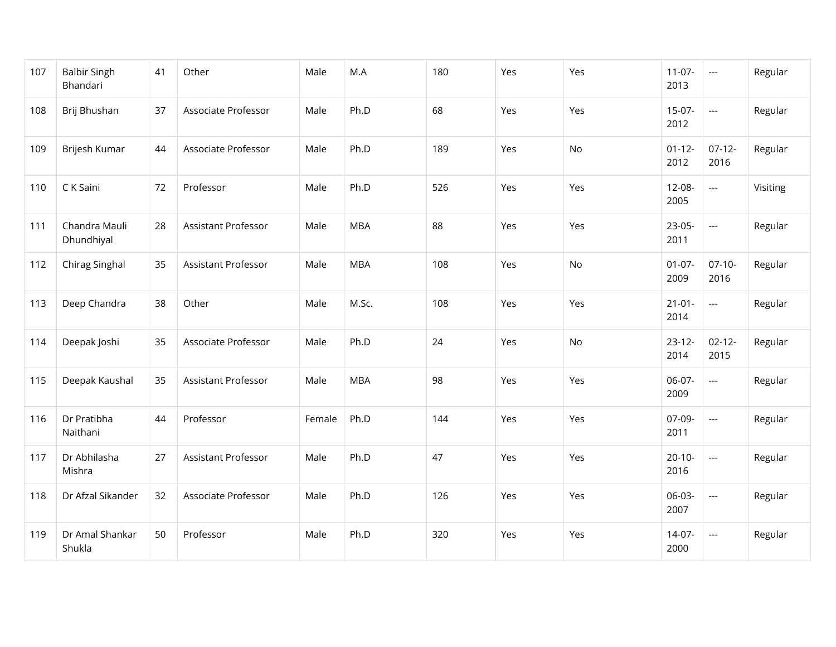| 107 | <b>Balbir Singh</b><br>Bhandari | 41 | Other               | Male   | M.A        | 180 | Yes | Yes | $11-07-$<br>2013    | $\overline{\phantom{a}}$ | Regular  |
|-----|---------------------------------|----|---------------------|--------|------------|-----|-----|-----|---------------------|--------------------------|----------|
| 108 | Brij Bhushan                    | 37 | Associate Professor | Male   | Ph.D       | 68  | Yes | Yes | $15-07-$<br>2012    | $\overline{a}$           | Regular  |
| 109 | Brijesh Kumar                   | 44 | Associate Professor | Male   | Ph.D       | 189 | Yes | No  | $01 - 12 -$<br>2012 | $07-12-$<br>2016         | Regular  |
| 110 | C K Saini                       | 72 | Professor           | Male   | Ph.D       | 526 | Yes | Yes | 12-08-<br>2005      | $\overline{a}$           | Visiting |
| 111 | Chandra Mauli<br>Dhundhiyal     | 28 | Assistant Professor | Male   | <b>MBA</b> | 88  | Yes | Yes | 23-05-<br>2011      | $\overline{\phantom{a}}$ | Regular  |
| 112 | Chirag Singhal                  | 35 | Assistant Professor | Male   | <b>MBA</b> | 108 | Yes | No  | $01-07-$<br>2009    | $07-10-$<br>2016         | Regular  |
| 113 | Deep Chandra                    | 38 | Other               | Male   | M.Sc.      | 108 | Yes | Yes | $21 - 01 -$<br>2014 | $\overline{a}$           | Regular  |
| 114 | Deepak Joshi                    | 35 | Associate Professor | Male   | Ph.D       | 24  | Yes | No  | $23 - 12 -$<br>2014 | $02 - 12 -$<br>2015      | Regular  |
| 115 | Deepak Kaushal                  | 35 | Assistant Professor | Male   | <b>MBA</b> | 98  | Yes | Yes | 06-07-<br>2009      | $\overline{\phantom{a}}$ | Regular  |
| 116 | Dr Pratibha<br>Naithani         | 44 | Professor           | Female | Ph.D       | 144 | Yes | Yes | 07-09-<br>2011      | $\overline{\phantom{a}}$ | Regular  |
| 117 | Dr Abhilasha<br>Mishra          | 27 | Assistant Professor | Male   | Ph.D       | 47  | Yes | Yes | $20 - 10 -$<br>2016 | $\overline{\phantom{a}}$ | Regular  |
| 118 | Dr Afzal Sikander               | 32 | Associate Professor | Male   | Ph.D       | 126 | Yes | Yes | 06-03-<br>2007      | $\overline{a}$           | Regular  |
| 119 | Dr Amal Shankar<br>Shukla       | 50 | Professor           | Male   | Ph.D       | 320 | Yes | Yes | $14-07-$<br>2000    | $---$                    | Regular  |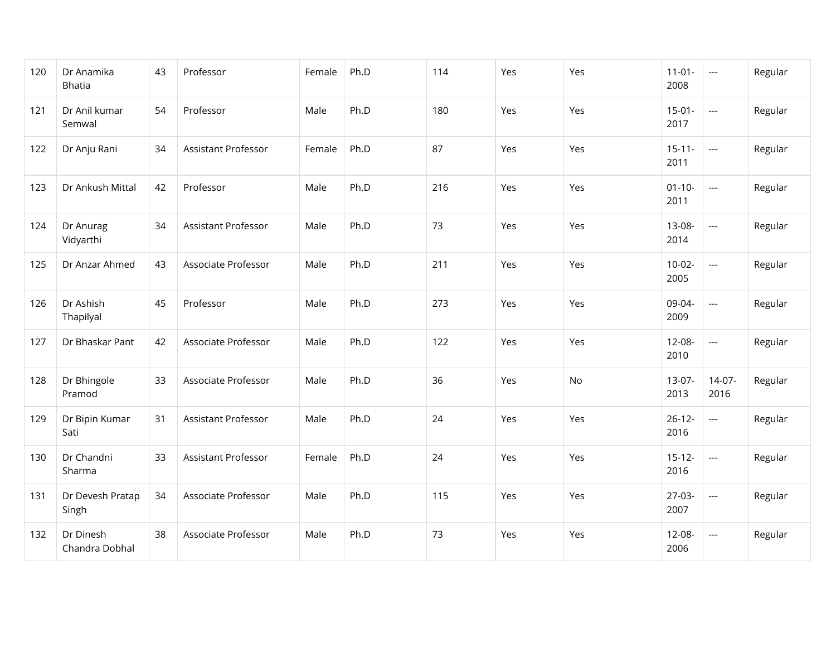| 120 | Dr Anamika<br><b>Bhatia</b> | 43 | Professor                  | Female | Ph.D | 114 | Yes | Yes | $11-01-$<br>2008    | $\hspace{0.05cm} \ldots$ | Regular |
|-----|-----------------------------|----|----------------------------|--------|------|-----|-----|-----|---------------------|--------------------------|---------|
| 121 | Dr Anil kumar<br>Semwal     | 54 | Professor                  | Male   | Ph.D | 180 | Yes | Yes | $15-01-$<br>2017    | $\overline{\phantom{a}}$ | Regular |
| 122 | Dr Anju Rani                | 34 | <b>Assistant Professor</b> | Female | Ph.D | 87  | Yes | Yes | $15 - 11 -$<br>2011 | $\overline{\phantom{a}}$ | Regular |
| 123 | Dr Ankush Mittal            | 42 | Professor                  | Male   | Ph.D | 216 | Yes | Yes | $01 - 10 -$<br>2011 | $\overline{\phantom{a}}$ | Regular |
| 124 | Dr Anurag<br>Vidyarthi      | 34 | Assistant Professor        | Male   | Ph.D | 73  | Yes | Yes | 13-08-<br>2014      | $\overline{\phantom{a}}$ | Regular |
| 125 | Dr Anzar Ahmed              | 43 | Associate Professor        | Male   | Ph.D | 211 | Yes | Yes | $10-02-$<br>2005    | $\overline{\phantom{a}}$ | Regular |
| 126 | Dr Ashish<br>Thapilyal      | 45 | Professor                  | Male   | Ph.D | 273 | Yes | Yes | 09-04-<br>2009      | $\overline{\phantom{a}}$ | Regular |
| 127 | Dr Bhaskar Pant             | 42 | Associate Professor        | Male   | Ph.D | 122 | Yes | Yes | $12 - 08 -$<br>2010 | $\overline{\phantom{a}}$ | Regular |
| 128 | Dr Bhingole<br>Pramod       | 33 | Associate Professor        | Male   | Ph.D | 36  | Yes | No  | $13-07-$<br>2013    | $14-07-$<br>2016         | Regular |
| 129 | Dr Bipin Kumar<br>Sati      | 31 | <b>Assistant Professor</b> | Male   | Ph.D | 24  | Yes | Yes | $26 - 12 -$<br>2016 | $\overline{\phantom{a}}$ | Regular |
| 130 | Dr Chandni<br>Sharma        | 33 | Assistant Professor        | Female | Ph.D | 24  | Yes | Yes | $15-12-$<br>2016    | $\overline{\phantom{a}}$ | Regular |
| 131 | Dr Devesh Pratap<br>Singh   | 34 | Associate Professor        | Male   | Ph.D | 115 | Yes | Yes | $27-03-$<br>2007    | $\overline{\phantom{a}}$ | Regular |
| 132 | Dr Dinesh<br>Chandra Dobhal | 38 | Associate Professor        | Male   | Ph.D | 73  | Yes | Yes | $12 - 08 -$<br>2006 | $\hspace{0.05cm} \ldots$ | Regular |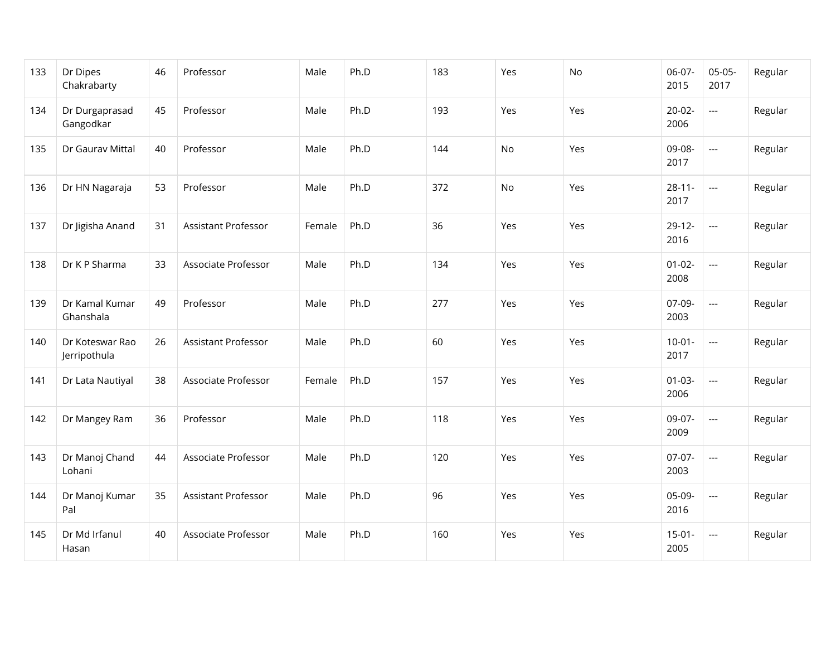| 133 | Dr Dipes<br>Chakrabarty         | 46 | Professor           | Male   | Ph.D | 183 | Yes       | No  | 06-07-<br>2015      | $05-05-$<br>2017         | Regular |
|-----|---------------------------------|----|---------------------|--------|------|-----|-----------|-----|---------------------|--------------------------|---------|
| 134 | Dr Durgaprasad<br>Gangodkar     | 45 | Professor           | Male   | Ph.D | 193 | Yes       | Yes | $20-02-$<br>2006    | $\overline{a}$           | Regular |
| 135 | Dr Gaurav Mittal                | 40 | Professor           | Male   | Ph.D | 144 | No        | Yes | 09-08-<br>2017      | $\overline{\phantom{a}}$ | Regular |
| 136 | Dr HN Nagaraja                  | 53 | Professor           | Male   | Ph.D | 372 | <b>No</b> | Yes | $28 - 11 -$<br>2017 | $\overline{a}$           | Regular |
| 137 | Dr Jigisha Anand                | 31 | Assistant Professor | Female | Ph.D | 36  | Yes       | Yes | $29-12-$<br>2016    | $\overline{\phantom{a}}$ | Regular |
| 138 | Dr K P Sharma                   | 33 | Associate Professor | Male   | Ph.D | 134 | Yes       | Yes | $01-02-$<br>2008    | $\overline{a}$           | Regular |
| 139 | Dr Kamal Kumar<br>Ghanshala     | 49 | Professor           | Male   | Ph.D | 277 | Yes       | Yes | 07-09-<br>2003      | $\overline{\phantom{a}}$ | Regular |
| 140 | Dr Koteswar Rao<br>Jerripothula | 26 | Assistant Professor | Male   | Ph.D | 60  | Yes       | Yes | $10-01 -$<br>2017   | $\overline{a}$           | Regular |
| 141 | Dr Lata Nautiyal                | 38 | Associate Professor | Female | Ph.D | 157 | Yes       | Yes | $01 - 03 -$<br>2006 | $\overline{a}$           | Regular |
| 142 | Dr Mangey Ram                   | 36 | Professor           | Male   | Ph.D | 118 | Yes       | Yes | 09-07-<br>2009      | $\overline{a}$           | Regular |
| 143 | Dr Manoj Chand<br>Lohani        | 44 | Associate Professor | Male   | Ph.D | 120 | Yes       | Yes | 07-07-<br>2003      | $\overline{\phantom{a}}$ | Regular |
| 144 | Dr Manoj Kumar<br>Pal           | 35 | Assistant Professor | Male   | Ph.D | 96  | Yes       | Yes | 05-09-<br>2016      | $\overline{\phantom{a}}$ | Regular |
| 145 | Dr Md Irfanul<br>Hasan          | 40 | Associate Professor | Male   | Ph.D | 160 | Yes       | Yes | $15-01-$<br>2005    | $\hspace{0.05cm} \ldots$ | Regular |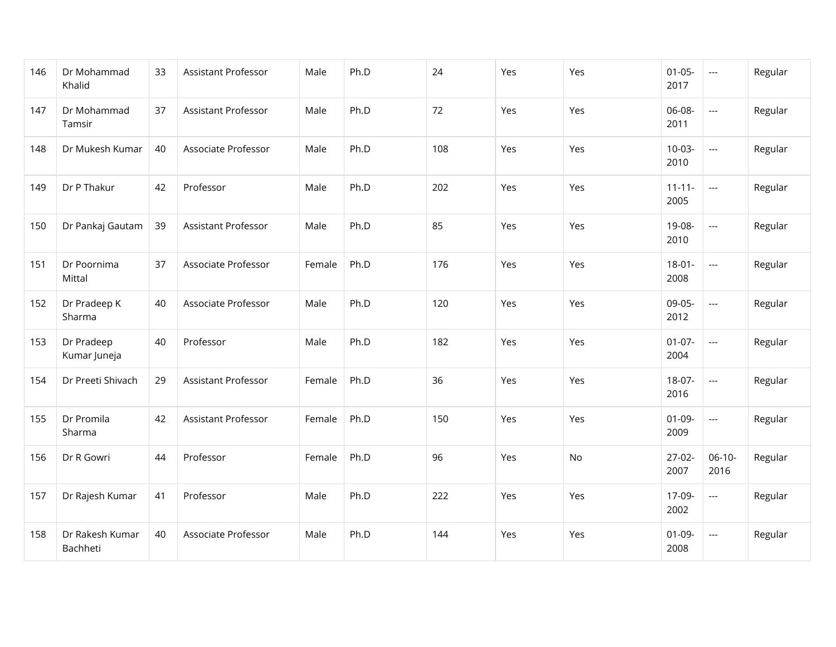| 146 | Dr Mohammad<br>Khalid       | 33 | Assistant Professor        | Male   | Ph.D | 24  | Yes | Yes | $01 - 05 -$<br>2017 | $\overline{\phantom{a}}$ | Regular |
|-----|-----------------------------|----|----------------------------|--------|------|-----|-----|-----|---------------------|--------------------------|---------|
| 147 | Dr Mohammad<br>Tamsir       | 37 | Assistant Professor        | Male   | Ph.D | 72  | Yes | Yes | 06-08-<br>2011      | $\overline{a}$           | Regular |
| 148 | Dr Mukesh Kumar             | 40 | Associate Professor        | Male   | Ph.D | 108 | Yes | Yes | $10-03-$<br>2010    | $\overline{\phantom{a}}$ | Regular |
| 149 | Dr P Thakur                 | 42 | Professor                  | Male   | Ph.D | 202 | Yes | Yes | $11 - 11 -$<br>2005 | $\overline{a}$           | Regular |
| 150 | Dr Pankaj Gautam            | 39 | <b>Assistant Professor</b> | Male   | Ph.D | 85  | Yes | Yes | 19-08-<br>2010      | $\overline{a}$           | Regular |
| 151 | Dr Poornima<br>Mittal       | 37 | Associate Professor        | Female | Ph.D | 176 | Yes | Yes | $18-01-$<br>2008    | $\overline{\phantom{a}}$ | Regular |
| 152 | Dr Pradeep K<br>Sharma      | 40 | Associate Professor        | Male   | Ph.D | 120 | Yes | Yes | 09-05-<br>2012      | $\overline{\phantom{a}}$ | Regular |
| 153 | Dr Pradeep<br>Kumar Juneja  | 40 | Professor                  | Male   | Ph.D | 182 | Yes | Yes | $01-07-$<br>2004    | $\overline{a}$           | Regular |
| 154 | Dr Preeti Shivach           | 29 | Assistant Professor        | Female | Ph.D | 36  | Yes | Yes | 18-07-<br>2016      | $\overline{\phantom{a}}$ | Regular |
| 155 | Dr Promila<br>Sharma        | 42 | <b>Assistant Professor</b> | Female | Ph.D | 150 | Yes | Yes | $01-09-$<br>2009    | $\overline{a}$           | Regular |
| 156 | Dr R Gowri                  | 44 | Professor                  | Female | Ph.D | 96  | Yes | No  | $27-02-$<br>2007    | $06-10-$<br>2016         | Regular |
| 157 | Dr Rajesh Kumar             | 41 | Professor                  | Male   | Ph.D | 222 | Yes | Yes | 17-09-<br>2002      | $\overline{a}$           | Regular |
| 158 | Dr Rakesh Kumar<br>Bachheti | 40 | Associate Professor        | Male   | Ph.D | 144 | Yes | Yes | $01-09-$<br>2008    | $\hspace{0.05cm} \ldots$ | Regular |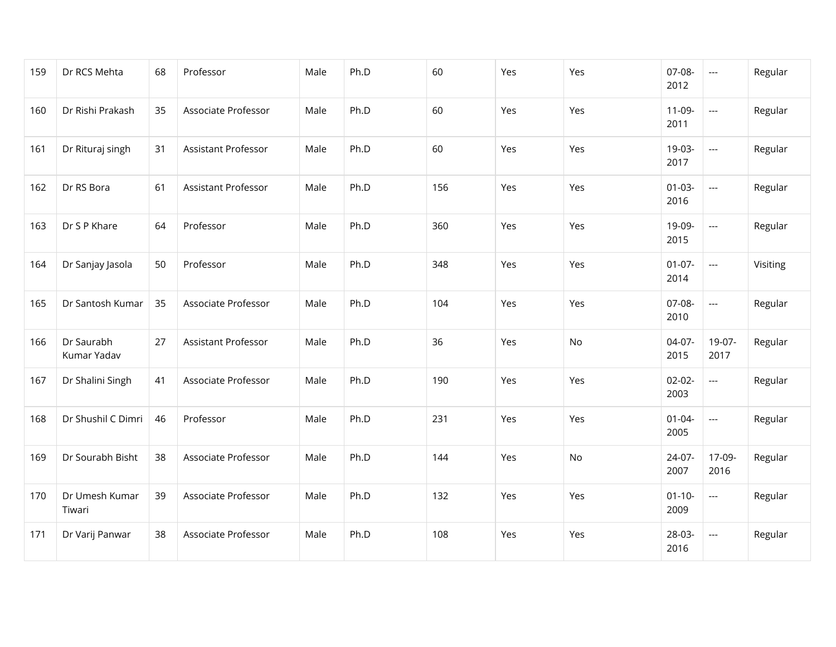| 159 | Dr RCS Mehta              | 68 | Professor           | Male | Ph.D | 60  | Yes | Yes | 07-08-<br>2012      | $\overline{\phantom{a}}$ | Regular  |
|-----|---------------------------|----|---------------------|------|------|-----|-----|-----|---------------------|--------------------------|----------|
| 160 | Dr Rishi Prakash          | 35 | Associate Professor | Male | Ph.D | 60  | Yes | Yes | $11-09-$<br>2011    | $\overline{\phantom{a}}$ | Regular  |
| 161 | Dr Rituraj singh          | 31 | Assistant Professor | Male | Ph.D | 60  | Yes | Yes | 19-03-<br>2017      | $\overline{\phantom{a}}$ | Regular  |
| 162 | Dr RS Bora                | 61 | Assistant Professor | Male | Ph.D | 156 | Yes | Yes | $01-03-$<br>2016    | $\overline{\phantom{a}}$ | Regular  |
| 163 | Dr S P Khare              | 64 | Professor           | Male | Ph.D | 360 | Yes | Yes | 19-09-<br>2015      | $\overline{a}$           | Regular  |
| 164 | Dr Sanjay Jasola          | 50 | Professor           | Male | Ph.D | 348 | Yes | Yes | $01-07-$<br>2014    | $\overline{a}$           | Visiting |
| 165 | Dr Santosh Kumar          | 35 | Associate Professor | Male | Ph.D | 104 | Yes | Yes | 07-08-<br>2010      | $\overline{\phantom{a}}$ | Regular  |
| 166 | Dr Saurabh<br>Kumar Yadav | 27 | Assistant Professor | Male | Ph.D | 36  | Yes | No  | 04-07-<br>2015      | 19-07-<br>2017           | Regular  |
| 167 | Dr Shalini Singh          | 41 | Associate Professor | Male | Ph.D | 190 | Yes | Yes | $02 - 02 -$<br>2003 | $\overline{a}$           | Regular  |
| 168 | Dr Shushil C Dimri        | 46 | Professor           | Male | Ph.D | 231 | Yes | Yes | $01 - 04 -$<br>2005 | $\overline{\phantom{a}}$ | Regular  |
| 169 | Dr Sourabh Bisht          | 38 | Associate Professor | Male | Ph.D | 144 | Yes | No  | 24-07-<br>2007      | 17-09-<br>2016           | Regular  |
| 170 | Dr Umesh Kumar<br>Tiwari  | 39 | Associate Professor | Male | Ph.D | 132 | Yes | Yes | $01 - 10 -$<br>2009 | $\overline{\phantom{a}}$ | Regular  |
| 171 | Dr Varij Panwar           | 38 | Associate Professor | Male | Ph.D | 108 | Yes | Yes | 28-03-<br>2016      | $\overline{\phantom{a}}$ | Regular  |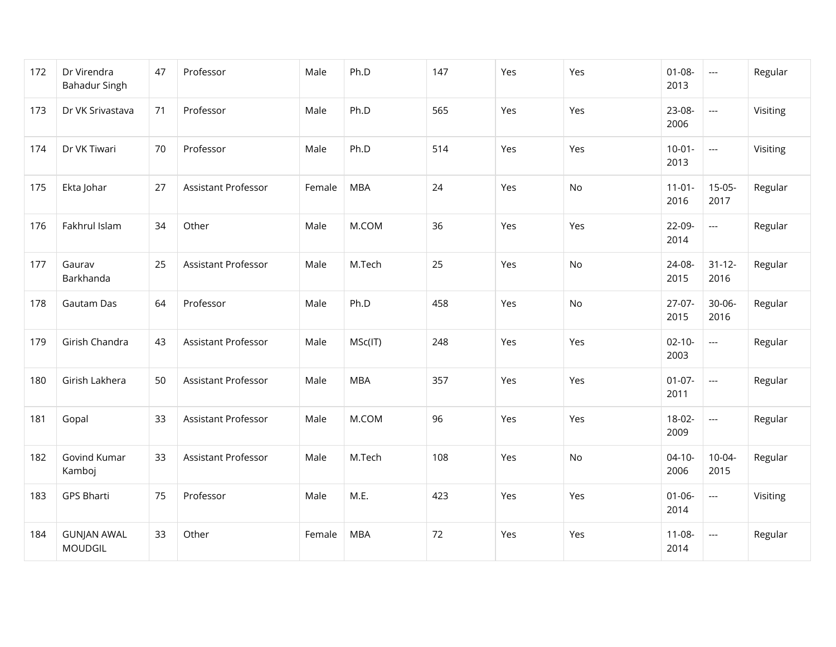| 172 | Dr Virendra<br><b>Bahadur Singh</b>  | 47 | Professor                  | Male   | Ph.D       | 147 | Yes | Yes | $01 - 08 -$<br>2013 | $\hspace{0.05cm} \ldots$ | Regular  |
|-----|--------------------------------------|----|----------------------------|--------|------------|-----|-----|-----|---------------------|--------------------------|----------|
| 173 | Dr VK Srivastava                     | 71 | Professor                  | Male   | Ph.D       | 565 | Yes | Yes | 23-08-<br>2006      | $\overline{\phantom{a}}$ | Visiting |
| 174 | Dr VK Tiwari                         | 70 | Professor                  | Male   | Ph.D       | 514 | Yes | Yes | $10-01 -$<br>2013   | $\hspace{0.05cm} \ldots$ | Visiting |
| 175 | Ekta Johar                           | 27 | Assistant Professor        | Female | <b>MBA</b> | 24  | Yes | No  | $11-01-$<br>2016    | $15-05-$<br>2017         | Regular  |
| 176 | Fakhrul Islam                        | 34 | Other                      | Male   | M.COM      | 36  | Yes | Yes | 22-09-<br>2014      | $\overline{\phantom{a}}$ | Regular  |
| 177 | Gaurav<br>Barkhanda                  | 25 | Assistant Professor        | Male   | M.Tech     | 25  | Yes | No  | 24-08-<br>2015      | $31 - 12 -$<br>2016      | Regular  |
| 178 | Gautam Das                           | 64 | Professor                  | Male   | Ph.D       | 458 | Yes | No  | $27-07-$<br>2015    | $30 - 06 -$<br>2016      | Regular  |
| 179 | Girish Chandra                       | 43 | Assistant Professor        | Male   | MSc(IT)    | 248 | Yes | Yes | $02 - 10 -$<br>2003 | $\overline{a}$           | Regular  |
| 180 | Girish Lakhera                       | 50 | <b>Assistant Professor</b> | Male   | <b>MBA</b> | 357 | Yes | Yes | $01-07-$<br>2011    | $\overline{\phantom{a}}$ | Regular  |
| 181 | Gopal                                | 33 | <b>Assistant Professor</b> | Male   | M.COM      | 96  | Yes | Yes | $18-02-$<br>2009    | $\overline{\phantom{a}}$ | Regular  |
| 182 | Govind Kumar<br>Kamboj               | 33 | Assistant Professor        | Male   | M.Tech     | 108 | Yes | No  | $04 - 10 -$<br>2006 | $10-04-$<br>2015         | Regular  |
| 183 | <b>GPS Bharti</b>                    | 75 | Professor                  | Male   | M.E.       | 423 | Yes | Yes | $01 - 06 -$<br>2014 | $\hspace{0.05cm} \ldots$ | Visiting |
| 184 | <b>GUNJAN AWAL</b><br><b>MOUDGIL</b> | 33 | Other                      | Female | <b>MBA</b> | 72  | Yes | Yes | $11 - 08 -$<br>2014 | ---                      | Regular  |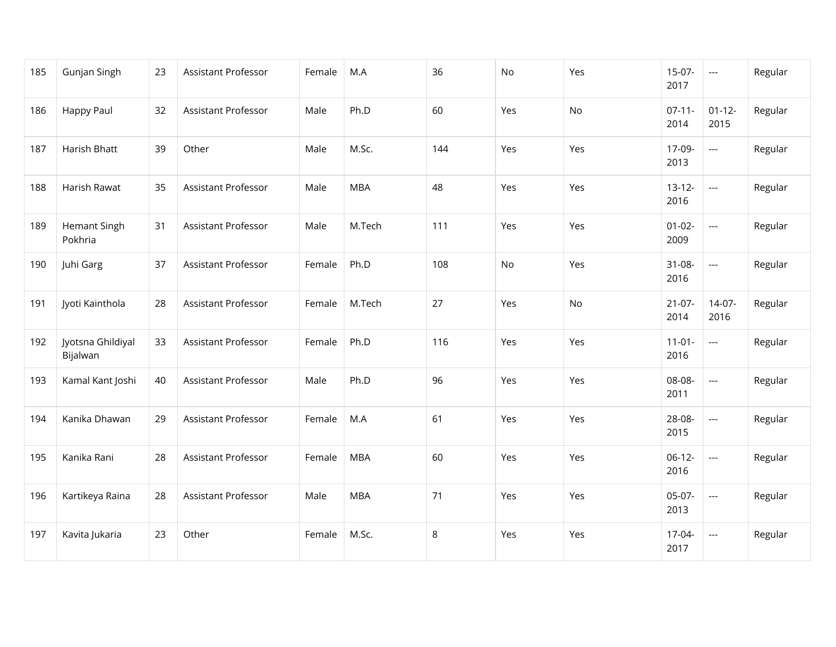| 185 | Gunjan Singh                   | 23 | Assistant Professor        | Female | M.A        | 36  | No  | Yes | $15-07-$<br>2017    | $\hspace{0.05cm} \ldots$ | Regular |
|-----|--------------------------------|----|----------------------------|--------|------------|-----|-----|-----|---------------------|--------------------------|---------|
| 186 | Happy Paul                     | 32 | Assistant Professor        | Male   | Ph.D       | 60  | Yes | No  | $07-11-$<br>2014    | $01 - 12 -$<br>2015      | Regular |
| 187 | Harish Bhatt                   | 39 | Other                      | Male   | M.Sc.      | 144 | Yes | Yes | 17-09-<br>2013      | $\overline{a}$           | Regular |
| 188 | Harish Rawat                   | 35 | Assistant Professor        | Male   | <b>MBA</b> | 48  | Yes | Yes | $13-12-$<br>2016    | $\overline{\phantom{a}}$ | Regular |
| 189 | <b>Hemant Singh</b><br>Pokhria | 31 | Assistant Professor        | Male   | M.Tech     | 111 | Yes | Yes | $01 - 02 -$<br>2009 | $\overline{a}$           | Regular |
| 190 | Juhi Garg                      | 37 | <b>Assistant Professor</b> | Female | Ph.D       | 108 | No  | Yes | $31 - 08 -$<br>2016 | $\overline{a}$           | Regular |
| 191 | Jyoti Kainthola                | 28 | Assistant Professor        | Female | M.Tech     | 27  | Yes | No  | $21-07-$<br>2014    | $14-07-$<br>2016         | Regular |
| 192 | Jyotsna Ghildiyal<br>Bijalwan  | 33 | Assistant Professor        | Female | Ph.D       | 116 | Yes | Yes | $11-01-$<br>2016    | $\overline{a}$           | Regular |
| 193 | Kamal Kant Joshi               | 40 | Assistant Professor        | Male   | Ph.D       | 96  | Yes | Yes | 08-08-<br>2011      | $\overline{a}$           | Regular |
| 194 | Kanika Dhawan                  | 29 | Assistant Professor        | Female | M.A        | 61  | Yes | Yes | 28-08-<br>2015      | $\overline{a}$           | Regular |
| 195 | Kanika Rani                    | 28 | Assistant Professor        | Female | <b>MBA</b> | 60  | Yes | Yes | $06-12-$<br>2016    | $\overline{\phantom{a}}$ | Regular |
| 196 | Kartikeya Raina                | 28 | Assistant Professor        | Male   | <b>MBA</b> | 71  | Yes | Yes | $05-07-$<br>2013    | $\overline{\phantom{a}}$ | Regular |
| 197 | Kavita Jukaria                 | 23 | Other                      | Female | M.Sc.      | 8   | Yes | Yes | 17-04-<br>2017      | $\overline{\phantom{a}}$ | Regular |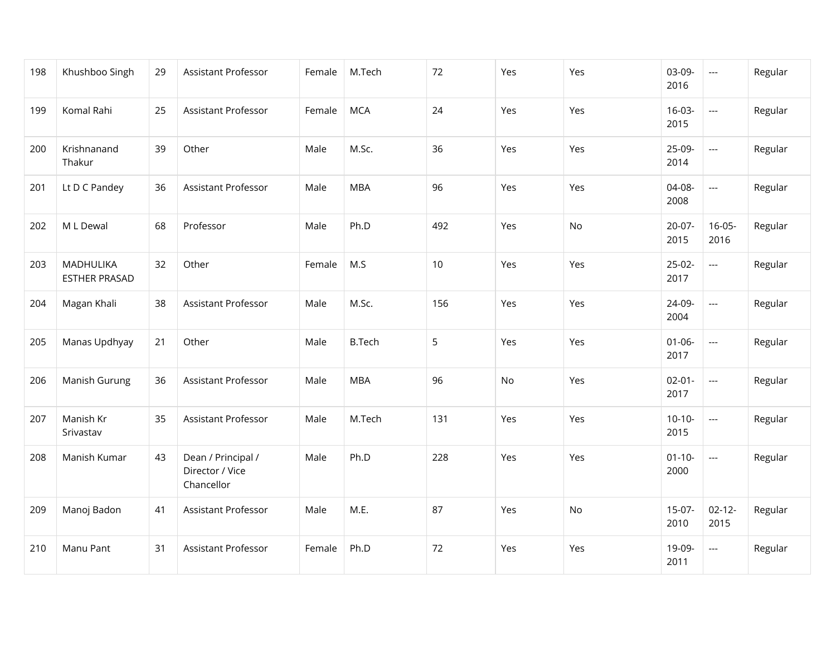| 198 | Khushboo Singh                    | 29 | Assistant Professor                                 | Female | M.Tech        | 72  | Yes | Yes | 03-09-<br>2016      | $\hspace{0.05cm} \ldots$ | Regular |
|-----|-----------------------------------|----|-----------------------------------------------------|--------|---------------|-----|-----|-----|---------------------|--------------------------|---------|
| 199 | Komal Rahi                        | 25 | Assistant Professor                                 | Female | <b>MCA</b>    | 24  | Yes | Yes | $16-03-$<br>2015    | $\overline{\phantom{a}}$ | Regular |
| 200 | Krishnanand<br>Thakur             | 39 | Other                                               | Male   | M.Sc.         | 36  | Yes | Yes | 25-09-<br>2014      | $\overline{\phantom{a}}$ | Regular |
| 201 | Lt D C Pandey                     | 36 | Assistant Professor                                 | Male   | <b>MBA</b>    | 96  | Yes | Yes | 04-08-<br>2008      | $\overline{\phantom{a}}$ | Regular |
| 202 | M L Dewal                         | 68 | Professor                                           | Male   | Ph.D          | 492 | Yes | No. | $20-07-$<br>2015    | $16-05-$<br>2016         | Regular |
| 203 | MADHULIKA<br><b>ESTHER PRASAD</b> | 32 | Other                                               | Female | M.S           | 10  | Yes | Yes | $25-02-$<br>2017    | $\overline{\phantom{a}}$ | Regular |
| 204 | Magan Khali                       | 38 | Assistant Professor                                 | Male   | M.Sc.         | 156 | Yes | Yes | 24-09-<br>2004      | $\overline{\phantom{a}}$ | Regular |
| 205 | Manas Updhyay                     | 21 | Other                                               | Male   | <b>B.Tech</b> | 5   | Yes | Yes | $01 - 06 -$<br>2017 | $\overline{\phantom{a}}$ | Regular |
| 206 | Manish Gurung                     | 36 | Assistant Professor                                 | Male   | <b>MBA</b>    | 96  | No  | Yes | $02 - 01 -$<br>2017 | $\overline{\phantom{a}}$ | Regular |
| 207 | Manish Kr<br>Srivastav            | 35 | Assistant Professor                                 | Male   | M.Tech        | 131 | Yes | Yes | $10-10-$<br>2015    | ---                      | Regular |
| 208 | Manish Kumar                      | 43 | Dean / Principal /<br>Director / Vice<br>Chancellor | Male   | Ph.D          | 228 | Yes | Yes | $01 - 10 -$<br>2000 | $\overline{\phantom{a}}$ | Regular |
| 209 | Manoj Badon                       | 41 | Assistant Professor                                 | Male   | M.E.          | 87  | Yes | No. | $15-07-$<br>2010    | $02 - 12 -$<br>2015      | Regular |
| 210 | Manu Pant                         | 31 | Assistant Professor                                 | Female | Ph.D          | 72  | Yes | Yes | 19-09-<br>2011      | ---                      | Regular |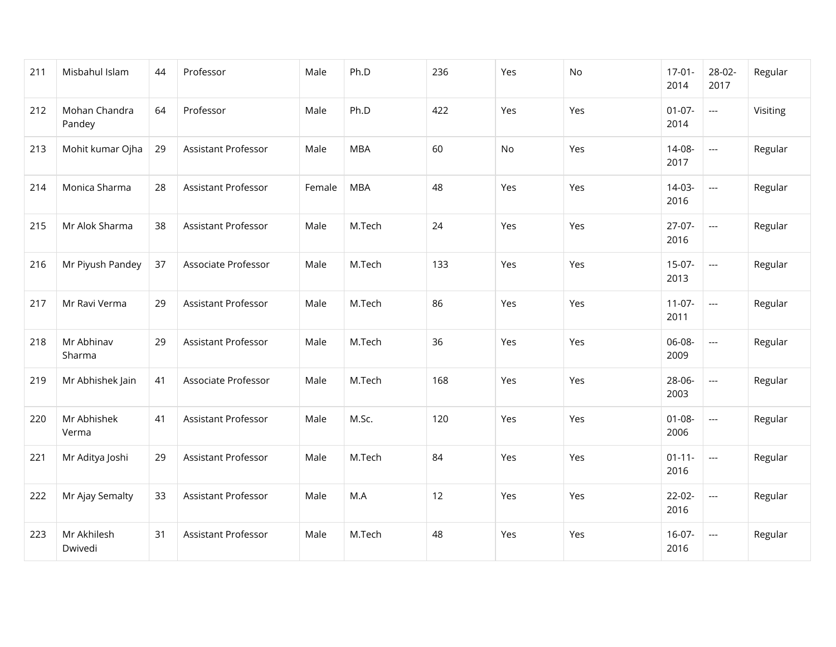| 211 | Misbahul Islam          | 44 | Professor                  | Male   | Ph.D       | 236 | Yes       | No  | $17-01-$<br>2014    | 28-02-<br>2017           | Regular  |
|-----|-------------------------|----|----------------------------|--------|------------|-----|-----------|-----|---------------------|--------------------------|----------|
| 212 | Mohan Chandra<br>Pandey | 64 | Professor                  | Male   | Ph.D       | 422 | Yes       | Yes | $01-07-$<br>2014    | $\overline{\phantom{a}}$ | Visiting |
| 213 | Mohit kumar Ojha        | 29 | <b>Assistant Professor</b> | Male   | <b>MBA</b> | 60  | <b>No</b> | Yes | 14-08-<br>2017      | $\overline{a}$           | Regular  |
| 214 | Monica Sharma           | 28 | <b>Assistant Professor</b> | Female | <b>MBA</b> | 48  | Yes       | Yes | $14-03-$<br>2016    | $\overline{\phantom{a}}$ | Regular  |
| 215 | Mr Alok Sharma          | 38 | Assistant Professor        | Male   | M.Tech     | 24  | Yes       | Yes | $27-07-$<br>2016    | $\overline{\phantom{a}}$ | Regular  |
| 216 | Mr Piyush Pandey        | 37 | Associate Professor        | Male   | M.Tech     | 133 | Yes       | Yes | $15-07-$<br>2013    | $\overline{\phantom{a}}$ | Regular  |
| 217 | Mr Ravi Verma           | 29 | <b>Assistant Professor</b> | Male   | M.Tech     | 86  | Yes       | Yes | $11-07-$<br>2011    | $\hspace{0.05cm} \ldots$ | Regular  |
| 218 | Mr Abhinav<br>Sharma    | 29 | Assistant Professor        | Male   | M.Tech     | 36  | Yes       | Yes | 06-08-<br>2009      | $\overline{a}$           | Regular  |
| 219 | Mr Abhishek Jain        | 41 | Associate Professor        | Male   | M.Tech     | 168 | Yes       | Yes | 28-06-<br>2003      | $\overline{a}$           | Regular  |
| 220 | Mr Abhishek<br>Verma    | 41 | Assistant Professor        | Male   | M.Sc.      | 120 | Yes       | Yes | $01 - 08 -$<br>2006 | $\overline{a}$           | Regular  |
| 221 | Mr Aditya Joshi         | 29 | Assistant Professor        | Male   | M.Tech     | 84  | Yes       | Yes | $01 - 11 -$<br>2016 | $\overline{\phantom{a}}$ | Regular  |
| 222 | Mr Ajay Semalty         | 33 | <b>Assistant Professor</b> | Male   | M.A        | 12  | Yes       | Yes | $22-02-$<br>2016    | $\overline{a}$           | Regular  |
| 223 | Mr Akhilesh<br>Dwivedi  | 31 | Assistant Professor        | Male   | M.Tech     | 48  | Yes       | Yes | $16-07-$<br>2016    | $\hspace{0.05cm} \ldots$ | Regular  |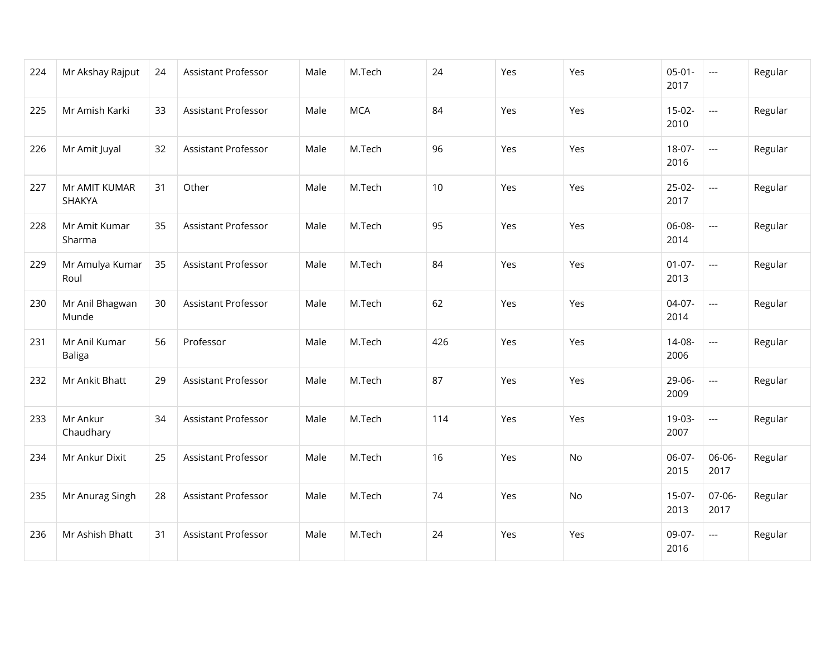| 224 | Mr Akshay Rajput               | 24 | Assistant Professor        | Male | M.Tech     | 24  | Yes | Yes | $05-01 -$<br>2017   | $\overline{a}$           | Regular |
|-----|--------------------------------|----|----------------------------|------|------------|-----|-----|-----|---------------------|--------------------------|---------|
| 225 | Mr Amish Karki                 | 33 | <b>Assistant Professor</b> | Male | <b>MCA</b> | 84  | Yes | Yes | $15-02-$<br>2010    | $\overline{a}$           | Regular |
| 226 | Mr Amit Juyal                  | 32 | Assistant Professor        | Male | M.Tech     | 96  | Yes | Yes | 18-07-<br>2016      | $\overline{\phantom{a}}$ | Regular |
| 227 | Mr AMIT KUMAR<br>SHAKYA        | 31 | Other                      | Male | M.Tech     | 10  | Yes | Yes | $25-02-$<br>2017    | $\overline{\phantom{a}}$ | Regular |
| 228 | Mr Amit Kumar<br>Sharma        | 35 | <b>Assistant Professor</b> | Male | M.Tech     | 95  | Yes | Yes | 06-08-<br>2014      | $\overline{a}$           | Regular |
| 229 | Mr Amulya Kumar<br>Roul        | 35 | Assistant Professor        | Male | M.Tech     | 84  | Yes | Yes | $01 - 07 -$<br>2013 | $\overline{a}$           | Regular |
| 230 | Mr Anil Bhagwan<br>Munde       | 30 | Assistant Professor        | Male | M.Tech     | 62  | Yes | Yes | $04-07-$<br>2014    | $\overline{a}$           | Regular |
| 231 | Mr Anil Kumar<br><b>Baliga</b> | 56 | Professor                  | Male | M.Tech     | 426 | Yes | Yes | 14-08-<br>2006      | $\overline{a}$           | Regular |
| 232 | Mr Ankit Bhatt                 | 29 | Assistant Professor        | Male | M.Tech     | 87  | Yes | Yes | 29-06-<br>2009      | $\overline{a}$           | Regular |
| 233 | Mr Ankur<br>Chaudhary          | 34 | Assistant Professor        | Male | M.Tech     | 114 | Yes | Yes | 19-03-<br>2007      | $\overline{a}$           | Regular |
| 234 | Mr Ankur Dixit                 | 25 | Assistant Professor        | Male | M.Tech     | 16  | Yes | No  | 06-07-<br>2015      | 06-06-<br>2017           | Regular |
| 235 | Mr Anurag Singh                | 28 | Assistant Professor        | Male | M.Tech     | 74  | Yes | No  | $15-07-$<br>2013    | 07-06-<br>2017           | Regular |
| 236 | Mr Ashish Bhatt                | 31 | <b>Assistant Professor</b> | Male | M.Tech     | 24  | Yes | Yes | 09-07-<br>2016      | $\overline{a}$           | Regular |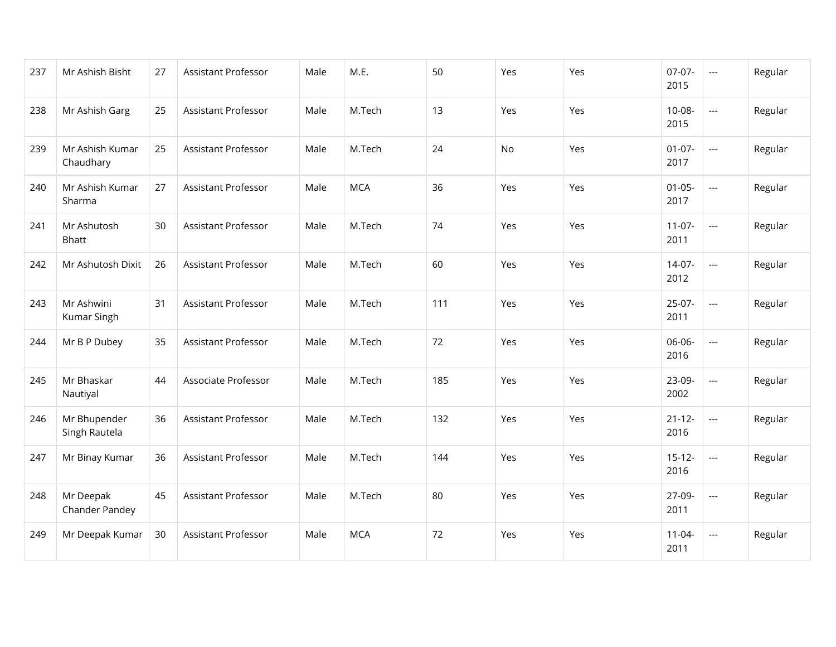| 237 | Mr Ashish Bisht               | 27 | Assistant Professor        | Male | M.E.       | 50  | Yes | Yes | $07-07-$<br>2015    | $\overline{a}$           | Regular |
|-----|-------------------------------|----|----------------------------|------|------------|-----|-----|-----|---------------------|--------------------------|---------|
| 238 | Mr Ashish Garg                | 25 | <b>Assistant Professor</b> | Male | M.Tech     | 13  | Yes | Yes | $10 - 08 -$<br>2015 | $\overline{\phantom{a}}$ | Regular |
| 239 | Mr Ashish Kumar<br>Chaudhary  | 25 | <b>Assistant Professor</b> | Male | M.Tech     | 24  | No  | Yes | $01-07-$<br>2017    | $\overline{a}$           | Regular |
| 240 | Mr Ashish Kumar<br>Sharma     | 27 | Assistant Professor        | Male | <b>MCA</b> | 36  | Yes | Yes | $01-05-$<br>2017    | $\overline{\phantom{a}}$ | Regular |
| 241 | Mr Ashutosh<br><b>Bhatt</b>   | 30 | <b>Assistant Professor</b> | Male | M.Tech     | 74  | Yes | Yes | $11-07-$<br>2011    | $\overline{a}$           | Regular |
| 242 | Mr Ashutosh Dixit             | 26 | <b>Assistant Professor</b> | Male | M.Tech     | 60  | Yes | Yes | $14-07-$<br>2012    | $\overline{\phantom{a}}$ | Regular |
| 243 | Mr Ashwini<br>Kumar Singh     | 31 | Assistant Professor        | Male | M.Tech     | 111 | Yes | Yes | $25-07-$<br>2011    | $\overline{a}$           | Regular |
| 244 | Mr B P Dubey                  | 35 | <b>Assistant Professor</b> | Male | M.Tech     | 72  | Yes | Yes | 06-06-<br>2016      | $\overline{a}$           | Regular |
| 245 | Mr Bhaskar<br>Nautiyal        | 44 | Associate Professor        | Male | M.Tech     | 185 | Yes | Yes | 23-09-<br>2002      | $\overline{a}$           | Regular |
| 246 | Mr Bhupender<br>Singh Rautela | 36 | Assistant Professor        | Male | M.Tech     | 132 | Yes | Yes | $21 - 12 -$<br>2016 | $\overline{a}$           | Regular |
| 247 | Mr Binay Kumar                | 36 | Assistant Professor        | Male | M.Tech     | 144 | Yes | Yes | $15-12-$<br>2016    | $\overline{\phantom{a}}$ | Regular |
| 248 | Mr Deepak<br>Chander Pandey   | 45 | <b>Assistant Professor</b> | Male | M.Tech     | 80  | Yes | Yes | 27-09-<br>2011      | $\overline{a}$           | Regular |
| 249 | Mr Deepak Kumar               | 30 | Assistant Professor        | Male | <b>MCA</b> | 72  | Yes | Yes | $11 - 04 -$<br>2011 | $\hspace{0.05cm} \ldots$ | Regular |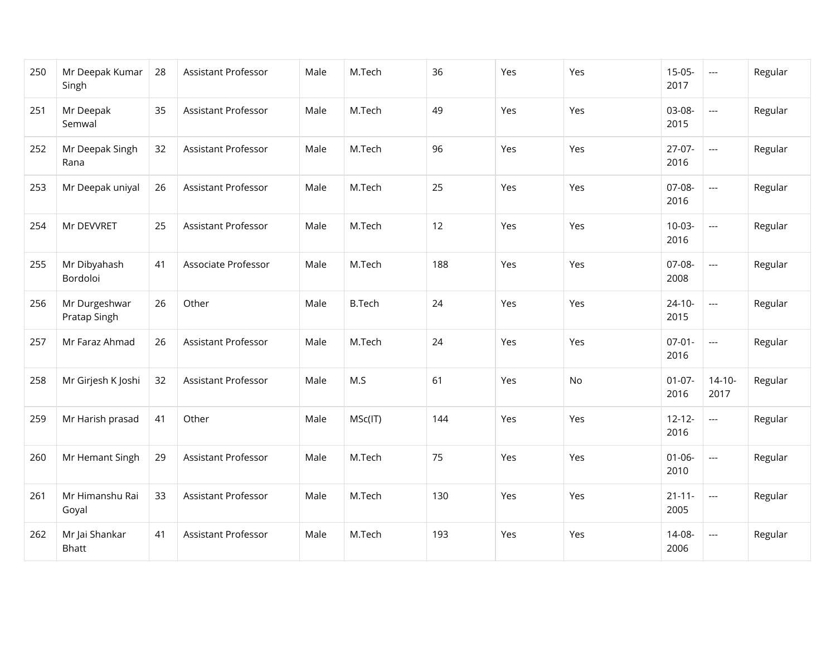| 250 | Mr Deepak Kumar<br>Singh       | 28 | Assistant Professor        | Male | M.Tech        | 36  | Yes | Yes | $15-05-$<br>2017    | $\scriptstyle \cdots$    | Regular |
|-----|--------------------------------|----|----------------------------|------|---------------|-----|-----|-----|---------------------|--------------------------|---------|
| 251 | Mr Deepak<br>Semwal            | 35 | Assistant Professor        | Male | M.Tech        | 49  | Yes | Yes | 03-08-<br>2015      | $\overline{\phantom{a}}$ | Regular |
| 252 | Mr Deepak Singh<br>Rana        | 32 | <b>Assistant Professor</b> | Male | M.Tech        | 96  | Yes | Yes | $27-07-$<br>2016    | $\overline{\phantom{a}}$ | Regular |
| 253 | Mr Deepak uniyal               | 26 | <b>Assistant Professor</b> | Male | M.Tech        | 25  | Yes | Yes | 07-08-<br>2016      | $\overline{a}$           | Regular |
| 254 | Mr DEVVRET                     | 25 | Assistant Professor        | Male | M.Tech        | 12  | Yes | Yes | $10-03-$<br>2016    | $\overline{\phantom{a}}$ | Regular |
| 255 | Mr Dibyahash<br>Bordoloi       | 41 | Associate Professor        | Male | M.Tech        | 188 | Yes | Yes | 07-08-<br>2008      | $\overline{a}$           | Regular |
| 256 | Mr Durgeshwar<br>Pratap Singh  | 26 | Other                      | Male | <b>B.Tech</b> | 24  | Yes | Yes | $24 - 10 -$<br>2015 | $\overline{\phantom{a}}$ | Regular |
| 257 | Mr Faraz Ahmad                 | 26 | Assistant Professor        | Male | M.Tech        | 24  | Yes | Yes | $07-01-$<br>2016    | $\overline{a}$           | Regular |
| 258 | Mr Girjesh K Joshi             | 32 | Assistant Professor        | Male | M.S           | 61  | Yes | No  | $01-07-$<br>2016    | $14-10-$<br>2017         | Regular |
| 259 | Mr Harish prasad               | 41 | Other                      | Male | MSc(IT)       | 144 | Yes | Yes | $12 - 12 -$<br>2016 | $\overline{\phantom{a}}$ | Regular |
| 260 | Mr Hemant Singh                | 29 | <b>Assistant Professor</b> | Male | M.Tech        | 75  | Yes | Yes | $01 - 06 -$<br>2010 | $\overline{\phantom{a}}$ | Regular |
| 261 | Mr Himanshu Rai<br>Goyal       | 33 | Assistant Professor        | Male | M.Tech        | 130 | Yes | Yes | $21 - 11 -$<br>2005 | $\overline{\phantom{a}}$ | Regular |
| 262 | Mr Jai Shankar<br><b>Bhatt</b> | 41 | Assistant Professor        | Male | M.Tech        | 193 | Yes | Yes | 14-08-<br>2006      | $---$                    | Regular |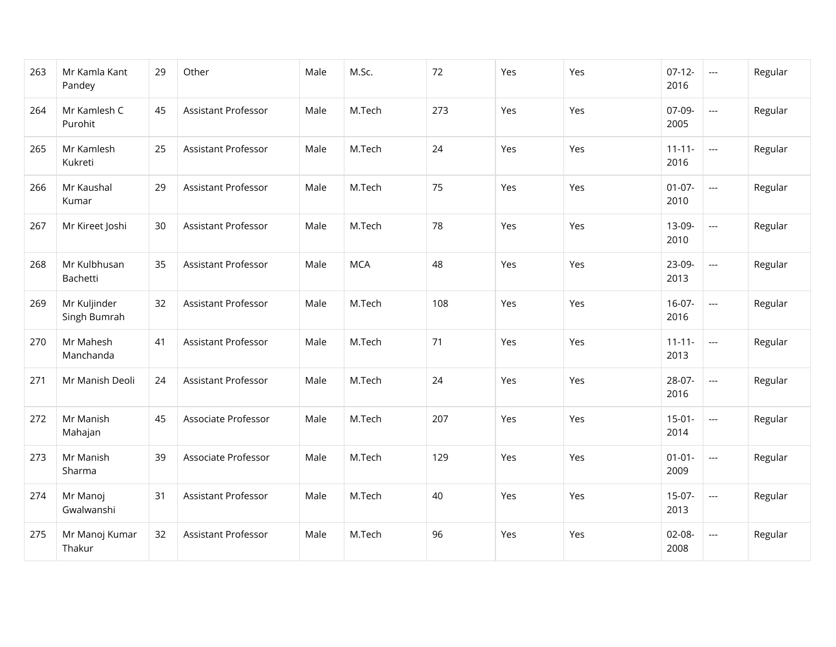| 263 | Mr Kamla Kant<br>Pandey      | 29 | Other                      | Male | M.Sc.      | 72  | Yes | Yes | $07-12-$<br>2016    | $\overline{\phantom{a}}$ | Regular |
|-----|------------------------------|----|----------------------------|------|------------|-----|-----|-----|---------------------|--------------------------|---------|
| 264 | Mr Kamlesh C<br>Purohit      | 45 | Assistant Professor        | Male | M.Tech     | 273 | Yes | Yes | 07-09-<br>2005      | $\overline{a}$           | Regular |
| 265 | Mr Kamlesh<br>Kukreti        | 25 | Assistant Professor        | Male | M.Tech     | 24  | Yes | Yes | $11 - 11 -$<br>2016 | $\overline{\phantom{a}}$ | Regular |
| 266 | Mr Kaushal<br>Kumar          | 29 | <b>Assistant Professor</b> | Male | M.Tech     | 75  | Yes | Yes | $01 - 07 -$<br>2010 | $\overline{\phantom{a}}$ | Regular |
| 267 | Mr Kireet Joshi              | 30 | <b>Assistant Professor</b> | Male | M.Tech     | 78  | Yes | Yes | 13-09-<br>2010      | $\overline{a}$           | Regular |
| 268 | Mr Kulbhusan<br>Bachetti     | 35 | Assistant Professor        | Male | <b>MCA</b> | 48  | Yes | Yes | 23-09-<br>2013      | $\overline{a}$           | Regular |
| 269 | Mr Kuljinder<br>Singh Bumrah | 32 | Assistant Professor        | Male | M.Tech     | 108 | Yes | Yes | $16-07-$<br>2016    | $\overline{\phantom{a}}$ | Regular |
| 270 | Mr Mahesh<br>Manchanda       | 41 | <b>Assistant Professor</b> | Male | M.Tech     | 71  | Yes | Yes | $11 - 11 -$<br>2013 | $\overline{\phantom{a}}$ | Regular |
| 271 | Mr Manish Deoli              | 24 | <b>Assistant Professor</b> | Male | M.Tech     | 24  | Yes | Yes | 28-07-<br>2016      | $\overline{\phantom{a}}$ | Regular |
| 272 | Mr Manish<br>Mahajan         | 45 | Associate Professor        | Male | M.Tech     | 207 | Yes | Yes | $15-01-$<br>2014    | $\overline{\phantom{a}}$ | Regular |
| 273 | Mr Manish<br>Sharma          | 39 | Associate Professor        | Male | M.Tech     | 129 | Yes | Yes | $01 - 01 -$<br>2009 | $\overline{\phantom{a}}$ | Regular |
| 274 | Mr Manoj<br>Gwalwanshi       | 31 | <b>Assistant Professor</b> | Male | M.Tech     | 40  | Yes | Yes | $15-07-$<br>2013    | $\overline{\phantom{a}}$ | Regular |
| 275 | Mr Manoj Kumar<br>Thakur     | 32 | Assistant Professor        | Male | M.Tech     | 96  | Yes | Yes | 02-08-<br>2008      | $\overline{\phantom{a}}$ | Regular |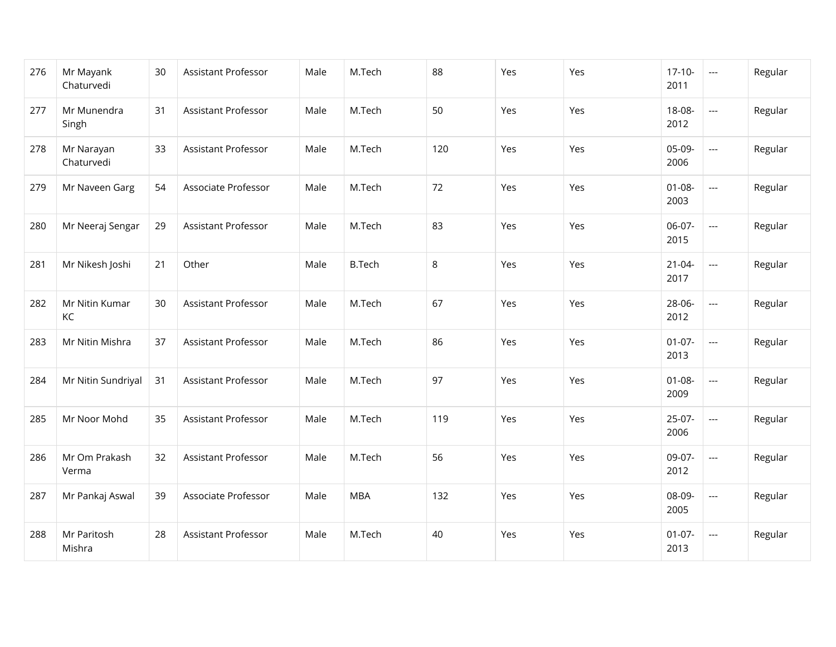| 276 | Mr Mayank<br>Chaturvedi  | 30 | Assistant Professor        | Male | M.Tech        | 88  | Yes | Yes | $17-10-$<br>2011    | $\hspace{0.05cm} \ldots$ | Regular |
|-----|--------------------------|----|----------------------------|------|---------------|-----|-----|-----|---------------------|--------------------------|---------|
| 277 | Mr Munendra<br>Singh     | 31 | Assistant Professor        | Male | M.Tech        | 50  | Yes | Yes | 18-08-<br>2012      | $\overline{\phantom{a}}$ | Regular |
| 278 | Mr Narayan<br>Chaturvedi | 33 | Assistant Professor        | Male | M.Tech        | 120 | Yes | Yes | 05-09-<br>2006      | $\overline{\phantom{a}}$ | Regular |
| 279 | Mr Naveen Garg           | 54 | Associate Professor        | Male | M.Tech        | 72  | Yes | Yes | $01 - 08 -$<br>2003 | $\overline{\phantom{a}}$ | Regular |
| 280 | Mr Neeraj Sengar         | 29 | Assistant Professor        | Male | M.Tech        | 83  | Yes | Yes | 06-07-<br>2015      | $\overline{\phantom{a}}$ | Regular |
| 281 | Mr Nikesh Joshi          | 21 | Other                      | Male | <b>B.Tech</b> | 8   | Yes | Yes | $21 - 04 -$<br>2017 | $\overline{a}$           | Regular |
| 282 | Mr Nitin Kumar<br>KC     | 30 | Assistant Professor        | Male | M.Tech        | 67  | Yes | Yes | 28-06-<br>2012      | ---                      | Regular |
| 283 | Mr Nitin Mishra          | 37 | Assistant Professor        | Male | M.Tech        | 86  | Yes | Yes | $01-07-$<br>2013    | $\overline{a}$           | Regular |
| 284 | Mr Nitin Sundriyal       | 31 | <b>Assistant Professor</b> | Male | M.Tech        | 97  | Yes | Yes | $01 - 08 -$<br>2009 | $\overline{\phantom{a}}$ | Regular |
| 285 | Mr Noor Mohd             | 35 | Assistant Professor        | Male | M.Tech        | 119 | Yes | Yes | $25-07-$<br>2006    | $\overline{a}$           | Regular |
| 286 | Mr Om Prakash<br>Verma   | 32 | Assistant Professor        | Male | M.Tech        | 56  | Yes | Yes | 09-07-<br>2012      | $\overline{\phantom{a}}$ | Regular |
| 287 | Mr Pankaj Aswal          | 39 | Associate Professor        | Male | <b>MBA</b>    | 132 | Yes | Yes | 08-09-<br>2005      | $\overline{\phantom{a}}$ | Regular |
| 288 | Mr Paritosh<br>Mishra    | 28 | Assistant Professor        | Male | M.Tech        | 40  | Yes | Yes | $01-07-$<br>2013    | $\hspace{0.05cm} \ldots$ | Regular |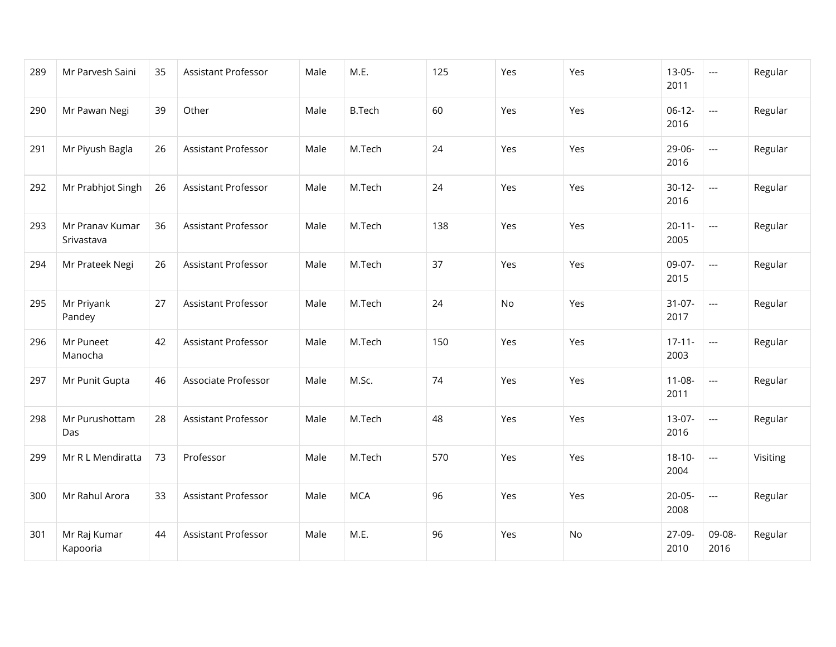| 289 | Mr Parvesh Saini              | 35 | Assistant Professor        | Male | M.E.          | 125 | Yes | Yes | $13-05-$<br>2011    | $\scriptstyle\cdots$     | Regular  |
|-----|-------------------------------|----|----------------------------|------|---------------|-----|-----|-----|---------------------|--------------------------|----------|
| 290 | Mr Pawan Negi                 | 39 | Other                      | Male | <b>B.Tech</b> | 60  | Yes | Yes | $06-12-$<br>2016    | $\overline{\phantom{a}}$ | Regular  |
| 291 | Mr Piyush Bagla               | 26 | <b>Assistant Professor</b> | Male | M.Tech        | 24  | Yes | Yes | 29-06-<br>2016      | $\overline{\phantom{a}}$ | Regular  |
| 292 | Mr Prabhjot Singh             | 26 | <b>Assistant Professor</b> | Male | M.Tech        | 24  | Yes | Yes | $30-12-$<br>2016    | $\overline{\phantom{a}}$ | Regular  |
| 293 | Mr Pranav Kumar<br>Srivastava | 36 | Assistant Professor        | Male | M.Tech        | 138 | Yes | Yes | $20 - 11 -$<br>2005 | $\overline{\phantom{a}}$ | Regular  |
| 294 | Mr Prateek Negi               | 26 | Assistant Professor        | Male | M.Tech        | 37  | Yes | Yes | 09-07-<br>2015      | $\overline{a}$           | Regular  |
| 295 | Mr Priyank<br>Pandey          | 27 | Assistant Professor        | Male | M.Tech        | 24  | No  | Yes | $31-07-$<br>2017    | $\overline{a}$           | Regular  |
| 296 | Mr Puneet<br>Manocha          | 42 | Assistant Professor        | Male | M.Tech        | 150 | Yes | Yes | $17 - 11 -$<br>2003 | $\overline{a}$           | Regular  |
| 297 | Mr Punit Gupta                | 46 | Associate Professor        | Male | M.Sc.         | 74  | Yes | Yes | $11-08-$<br>2011    | $\overline{a}$           | Regular  |
| 298 | Mr Purushottam<br>Das         | 28 | Assistant Professor        | Male | M.Tech        | 48  | Yes | Yes | $13-07-$<br>2016    | $\overline{a}$           | Regular  |
| 299 | Mr R L Mendiratta             | 73 | Professor                  | Male | M.Tech        | 570 | Yes | Yes | $18 - 10 -$<br>2004 | $\scriptstyle\cdots$     | Visiting |
| 300 | Mr Rahul Arora                | 33 | Assistant Professor        | Male | <b>MCA</b>    | 96  | Yes | Yes | $20-05-$<br>2008    | $\overline{a}$           | Regular  |
| 301 | Mr Raj Kumar<br>Kapooria      | 44 | Assistant Professor        | Male | M.E.          | 96  | Yes | No  | 27-09-<br>2010      | 09-08-<br>2016           | Regular  |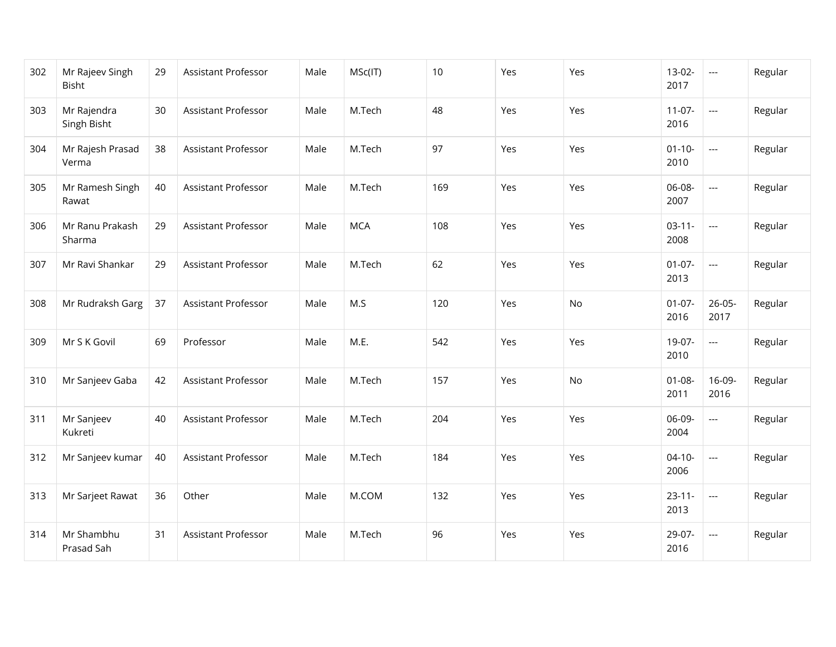| 302 | Mr Rajeev Singh<br>Bisht   | 29 | Assistant Professor        | Male | MSc(IT)    | 10  | Yes | Yes | $13-02-$<br>2017    | $\hspace{0.05cm} \ldots$ | Regular |
|-----|----------------------------|----|----------------------------|------|------------|-----|-----|-----|---------------------|--------------------------|---------|
| 303 | Mr Rajendra<br>Singh Bisht | 30 | Assistant Professor        | Male | M.Tech     | 48  | Yes | Yes | $11-07-$<br>2016    | $\overline{a}$           | Regular |
| 304 | Mr Rajesh Prasad<br>Verma  | 38 | Assistant Professor        | Male | M.Tech     | 97  | Yes | Yes | $01 - 10 -$<br>2010 | $\overline{a}$           | Regular |
| 305 | Mr Ramesh Singh<br>Rawat   | 40 | <b>Assistant Professor</b> | Male | M.Tech     | 169 | Yes | Yes | 06-08-<br>2007      | $\overline{\phantom{a}}$ | Regular |
| 306 | Mr Ranu Prakash<br>Sharma  | 29 | Assistant Professor        | Male | <b>MCA</b> | 108 | Yes | Yes | $03-11-$<br>2008    | $\overline{\phantom{a}}$ | Regular |
| 307 | Mr Ravi Shankar            | 29 | Assistant Professor        | Male | M.Tech     | 62  | Yes | Yes | $01 - 07 -$<br>2013 | $\overline{\phantom{a}}$ | Regular |
| 308 | Mr Rudraksh Garg           | 37 | Assistant Professor        | Male | M.S        | 120 | Yes | No  | $01-07-$<br>2016    | $26 - 05 -$<br>2017      | Regular |
| 309 | Mr S K Govil               | 69 | Professor                  | Male | M.E.       | 542 | Yes | Yes | 19-07-<br>2010      | $\overline{a}$           | Regular |
| 310 | Mr Sanjeev Gaba            | 42 | Assistant Professor        | Male | M.Tech     | 157 | Yes | No  | $01 - 08 -$<br>2011 | $16-09-$<br>2016         | Regular |
| 311 | Mr Sanjeev<br>Kukreti      | 40 | Assistant Professor        | Male | M.Tech     | 204 | Yes | Yes | 06-09-<br>2004      | $\overline{\phantom{a}}$ | Regular |
| 312 | Mr Sanjeev kumar           | 40 | <b>Assistant Professor</b> | Male | M.Tech     | 184 | Yes | Yes | $04 - 10 -$<br>2006 | $\overline{\phantom{a}}$ | Regular |
| 313 | Mr Sarjeet Rawat           | 36 | Other                      | Male | M.COM      | 132 | Yes | Yes | $23 - 11 -$<br>2013 | $\overline{a}$           | Regular |
| 314 | Mr Shambhu<br>Prasad Sah   | 31 | Assistant Professor        | Male | M.Tech     | 96  | Yes | Yes | 29-07-<br>2016      | $---$                    | Regular |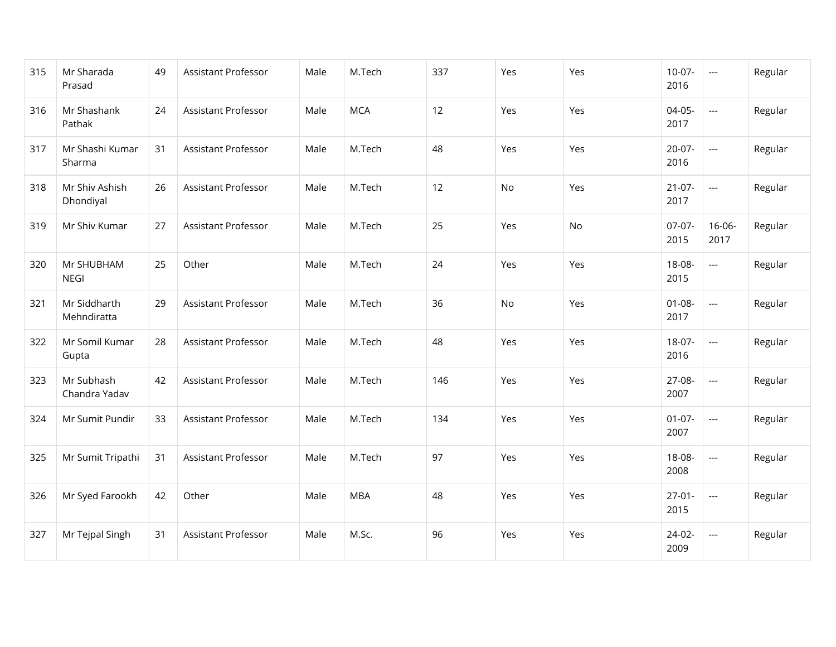| 315 | Mr Sharada<br>Prasad        | 49 | Assistant Professor        | Male | M.Tech     | 337 | Yes | Yes | $10-07-$<br>2016    | $\hspace{0.05cm} \ldots$ | Regular |
|-----|-----------------------------|----|----------------------------|------|------------|-----|-----|-----|---------------------|--------------------------|---------|
| 316 | Mr Shashank<br>Pathak       | 24 | <b>Assistant Professor</b> | Male | <b>MCA</b> | 12  | Yes | Yes | 04-05-<br>2017      | $\overline{a}$           | Regular |
| 317 | Mr Shashi Kumar<br>Sharma   | 31 | <b>Assistant Professor</b> | Male | M.Tech     | 48  | Yes | Yes | $20-07-$<br>2016    | $\qquad \qquad -$        | Regular |
| 318 | Mr Shiv Ashish<br>Dhondiyal | 26 | Assistant Professor        | Male | M.Tech     | 12  | No  | Yes | $21-07-$<br>2017    | $\overline{\phantom{a}}$ | Regular |
| 319 | Mr Shiv Kumar               | 27 | <b>Assistant Professor</b> | Male | M.Tech     | 25  | Yes | No  | $07-07-$<br>2015    | $16 - 06 -$<br>2017      | Regular |
| 320 | Mr SHUBHAM<br><b>NEGI</b>   | 25 | Other                      | Male | M.Tech     | 24  | Yes | Yes | 18-08-<br>2015      | $\overline{a}$           | Regular |
| 321 | Mr Siddharth<br>Mehndiratta | 29 | Assistant Professor        | Male | M.Tech     | 36  | No  | Yes | $01 - 08 -$<br>2017 | $\cdots$                 | Regular |
| 322 | Mr Somil Kumar<br>Gupta     | 28 | Assistant Professor        | Male | M.Tech     | 48  | Yes | Yes | 18-07-<br>2016      | $\overline{a}$           | Regular |
| 323 | Mr Subhash<br>Chandra Yadav | 42 | <b>Assistant Professor</b> | Male | M.Tech     | 146 | Yes | Yes | 27-08-<br>2007      | $\overline{a}$           | Regular |
| 324 | Mr Sumit Pundir             | 33 | Assistant Professor        | Male | M.Tech     | 134 | Yes | Yes | $01-07-$<br>2007    | $\overline{a}$           | Regular |
| 325 | Mr Sumit Tripathi           | 31 | Assistant Professor        | Male | M.Tech     | 97  | Yes | Yes | 18-08-<br>2008      | $\overline{\phantom{a}}$ | Regular |
| 326 | Mr Syed Farookh             | 42 | Other                      | Male | <b>MBA</b> | 48  | Yes | Yes | $27-01-$<br>2015    | $\overline{\phantom{a}}$ | Regular |
| 327 | Mr Tejpal Singh             | 31 | Assistant Professor        | Male | M.Sc.      | 96  | Yes | Yes | 24-02-<br>2009      | $\hspace{0.05cm} \ldots$ | Regular |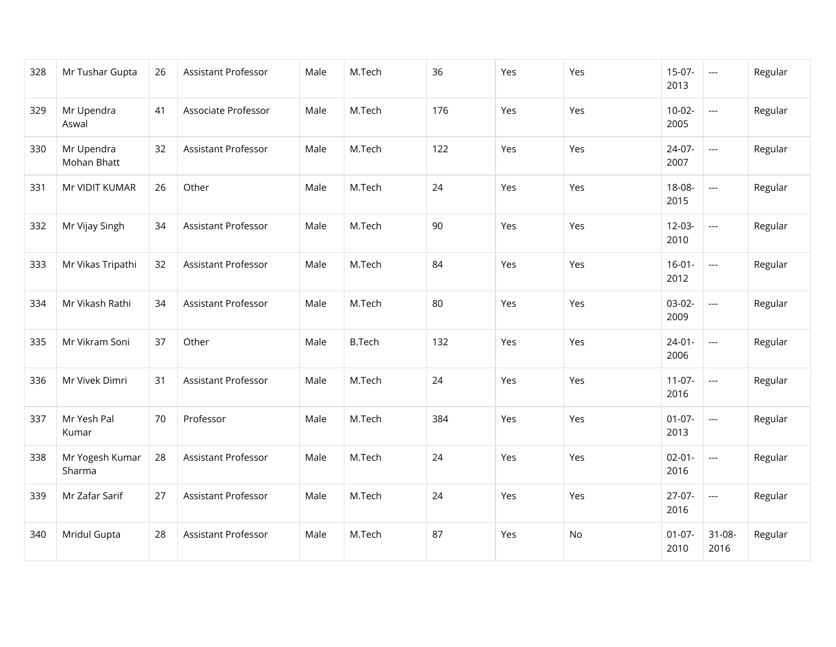| 328 | Mr Tushar Gupta           | 26 | Assistant Professor        | Male | M.Tech        | 36  | Yes | Yes | $15-07-$<br>2013    | $\hspace{0.05cm} \ldots$ | Regular |
|-----|---------------------------|----|----------------------------|------|---------------|-----|-----|-----|---------------------|--------------------------|---------|
| 329 | Mr Upendra<br>Aswal       | 41 | Associate Professor        | Male | M.Tech        | 176 | Yes | Yes | $10-02-$<br>2005    | $\overline{\phantom{a}}$ | Regular |
| 330 | Mr Upendra<br>Mohan Bhatt | 32 | Assistant Professor        | Male | M.Tech        | 122 | Yes | Yes | 24-07-<br>2007      | $\overline{\phantom{a}}$ | Regular |
| 331 | Mr VIDIT KUMAR            | 26 | Other                      | Male | M.Tech        | 24  | Yes | Yes | 18-08-<br>2015      | $\overline{\phantom{a}}$ | Regular |
| 332 | Mr Vijay Singh            | 34 | Assistant Professor        | Male | M.Tech        | 90  | Yes | Yes | $12-03-$<br>2010    | $\overline{\phantom{a}}$ | Regular |
| 333 | Mr Vikas Tripathi         | 32 | Assistant Professor        | Male | M.Tech        | 84  | Yes | Yes | $16 - 01 -$<br>2012 | $\overline{a}$           | Regular |
| 334 | Mr Vikash Rathi           | 34 | <b>Assistant Professor</b> | Male | M.Tech        | 80  | Yes | Yes | $03-02-$<br>2009    | $\overline{\phantom{a}}$ | Regular |
| 335 | Mr Vikram Soni            | 37 | Other                      | Male | <b>B.Tech</b> | 132 | Yes | Yes | $24-01-$<br>2006    | $\overline{\phantom{a}}$ | Regular |
| 336 | Mr Vivek Dimri            | 31 | Assistant Professor        | Male | M.Tech        | 24  | Yes | Yes | $11-07-$<br>2016    | $\hspace{0.05cm} \ldots$ | Regular |
| 337 | Mr Yesh Pal<br>Kumar      | 70 | Professor                  | Male | M.Tech        | 384 | Yes | Yes | $01-07-$<br>2013    | $\overline{a}$           | Regular |
| 338 | Mr Yogesh Kumar<br>Sharma | 28 | Assistant Professor        | Male | M.Tech        | 24  | Yes | Yes | $02 - 01 -$<br>2016 | $\overline{\phantom{a}}$ | Regular |
| 339 | Mr Zafar Sarif            | 27 | Assistant Professor        | Male | M.Tech        | 24  | Yes | Yes | $27-07-$<br>2016    | $\overline{\phantom{a}}$ | Regular |
| 340 | Mridul Gupta              | 28 | Assistant Professor        | Male | M.Tech        | 87  | Yes | No  | $01-07-$<br>2010    | $31 - 08 -$<br>2016      | Regular |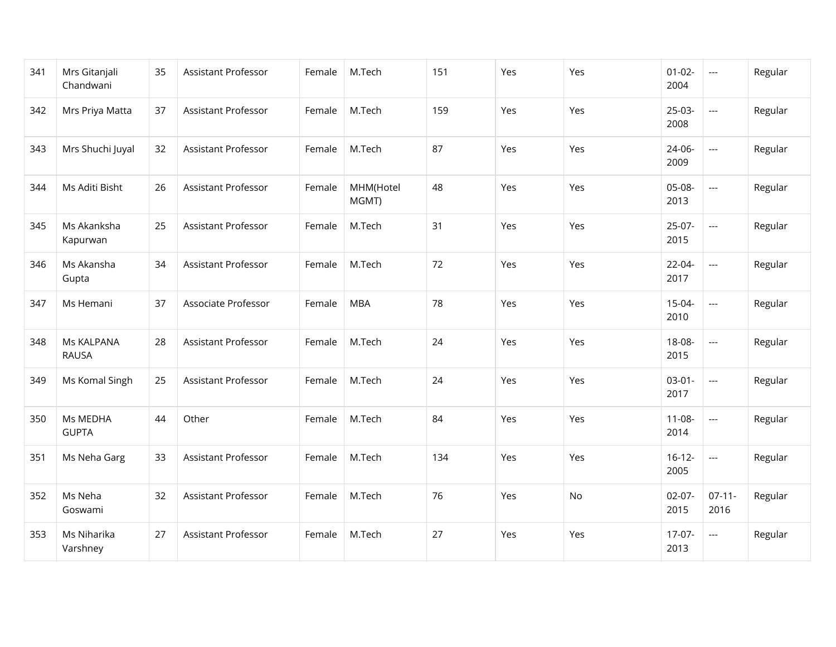| 341 | Mrs Gitanjali<br>Chandwani | 35 | Assistant Professor        | Female | M.Tech             | 151 | Yes | Yes | $01 - 02 -$<br>2004 | $\hspace{0.05cm} \ldots$ | Regular |
|-----|----------------------------|----|----------------------------|--------|--------------------|-----|-----|-----|---------------------|--------------------------|---------|
| 342 | Mrs Priya Matta            | 37 | Assistant Professor        | Female | M.Tech             | 159 | Yes | Yes | $25-03-$<br>2008    | $\overline{a}$           | Regular |
| 343 | Mrs Shuchi Juyal           | 32 | <b>Assistant Professor</b> | Female | M.Tech             | 87  | Yes | Yes | 24-06-<br>2009      | $\cdots$                 | Regular |
| 344 | Ms Aditi Bisht             | 26 | <b>Assistant Professor</b> | Female | MHM(Hotel<br>MGMT) | 48  | Yes | Yes | 05-08-<br>2013      | $\qquad \qquad -$        | Regular |
| 345 | Ms Akanksha<br>Kapurwan    | 25 | Assistant Professor        | Female | M.Tech             | 31  | Yes | Yes | $25-07-$<br>2015    | $\overline{\phantom{a}}$ | Regular |
| 346 | Ms Akansha<br>Gupta        | 34 | Assistant Professor        | Female | M.Tech             | 72  | Yes | Yes | 22-04-<br>2017      | $\overline{a}$           | Regular |
| 347 | Ms Hemani                  | 37 | Associate Professor        | Female | <b>MBA</b>         | 78  | Yes | Yes | $15-04-$<br>2010    | $\overline{\phantom{a}}$ | Regular |
| 348 | Ms KALPANA<br><b>RAUSA</b> | 28 | Assistant Professor        | Female | M.Tech             | 24  | Yes | Yes | 18-08-<br>2015      | $\overline{a}$           | Regular |
| 349 | Ms Komal Singh             | 25 | Assistant Professor        | Female | M.Tech             | 24  | Yes | Yes | $03-01-$<br>2017    | $\hspace{0.05cm} \ldots$ | Regular |
| 350 | Ms MEDHA<br><b>GUPTA</b>   | 44 | Other                      | Female | M.Tech             | 84  | Yes | Yes | $11 - 08 -$<br>2014 | $\overline{a}$           | Regular |
| 351 | Ms Neha Garg               | 33 | <b>Assistant Professor</b> | Female | M.Tech             | 134 | Yes | Yes | $16-12-$<br>2005    | ---                      | Regular |
| 352 | Ms Neha<br>Goswami         | 32 | Assistant Professor        | Female | M.Tech             | 76  | Yes | No  | $02-07-$<br>2015    | $07 - 11 -$<br>2016      | Regular |
| 353 | Ms Niharika<br>Varshney    | 27 | <b>Assistant Professor</b> | Female | M.Tech             | 27  | Yes | Yes | $17-07-$<br>2013    | $\hspace{0.05cm} \ldots$ | Regular |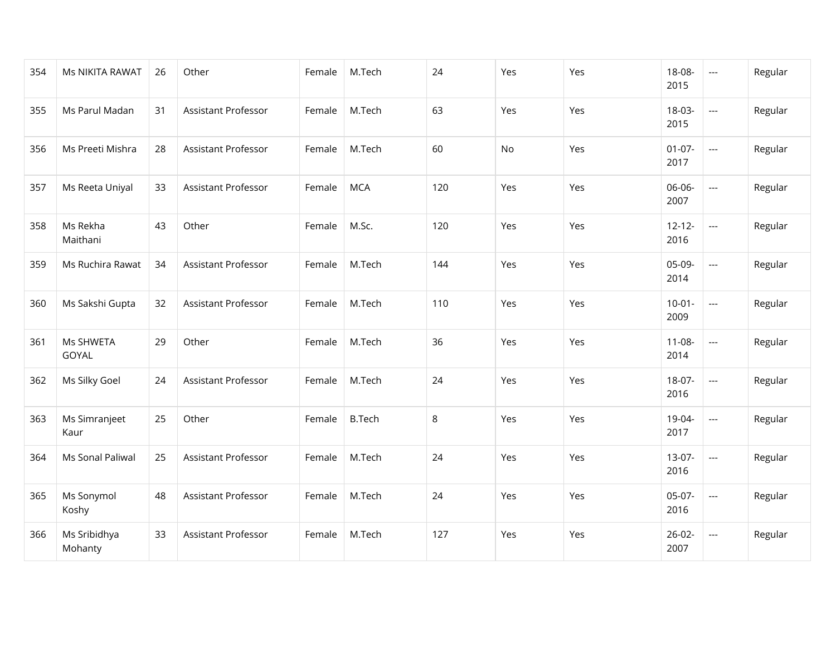| 354 | Ms NIKITA RAWAT         | 26 | Other                      | Female | M.Tech        | 24  | Yes | Yes | 18-08-<br>2015      | $\hspace{0.05cm} \ldots$ | Regular |
|-----|-------------------------|----|----------------------------|--------|---------------|-----|-----|-----|---------------------|--------------------------|---------|
| 355 | Ms Parul Madan          | 31 | Assistant Professor        | Female | M.Tech        | 63  | Yes | Yes | 18-03-<br>2015      | $\overline{\phantom{a}}$ | Regular |
| 356 | Ms Preeti Mishra        | 28 | Assistant Professor        | Female | M.Tech        | 60  | No  | Yes | $01-07-$<br>2017    | $\hspace{0.05cm} \ldots$ | Regular |
| 357 | Ms Reeta Uniyal         | 33 | Assistant Professor        | Female | <b>MCA</b>    | 120 | Yes | Yes | 06-06-<br>2007      | $\overline{\phantom{a}}$ | Regular |
| 358 | Ms Rekha<br>Maithani    | 43 | Other                      | Female | M.Sc.         | 120 | Yes | Yes | $12 - 12 -$<br>2016 | $\overline{\phantom{a}}$ | Regular |
| 359 | Ms Ruchira Rawat        | 34 | Assistant Professor        | Female | M.Tech        | 144 | Yes | Yes | 05-09-<br>2014      | $\overline{a}$           | Regular |
| 360 | Ms Sakshi Gupta         | 32 | <b>Assistant Professor</b> | Female | M.Tech        | 110 | Yes | Yes | $10-01 -$<br>2009   | $\overline{\phantom{a}}$ | Regular |
| 361 | Ms SHWETA<br>GOYAL      | 29 | Other                      | Female | M.Tech        | 36  | Yes | Yes | $11 - 08 -$<br>2014 | $\overline{a}$           | Regular |
| 362 | Ms Silky Goel           | 24 | <b>Assistant Professor</b> | Female | M.Tech        | 24  | Yes | Yes | $18-07-$<br>2016    | $\overline{\phantom{a}}$ | Regular |
| 363 | Ms Simranjeet<br>Kaur   | 25 | Other                      | Female | <b>B.Tech</b> | 8   | Yes | Yes | 19-04-<br>2017      | $\overline{a}$           | Regular |
| 364 | Ms Sonal Paliwal        | 25 | Assistant Professor        | Female | M.Tech        | 24  | Yes | Yes | $13-07-$<br>2016    | $\hspace{0.05cm} \ldots$ | Regular |
| 365 | Ms Sonymol<br>Koshy     | 48 | Assistant Professor        | Female | M.Tech        | 24  | Yes | Yes | 05-07-<br>2016      | $\overline{\phantom{a}}$ | Regular |
| 366 | Ms Sribidhya<br>Mohanty | 33 | Assistant Professor        | Female | M.Tech        | 127 | Yes | Yes | $26 - 02 -$<br>2007 | $\hspace{0.05cm} \ldots$ | Regular |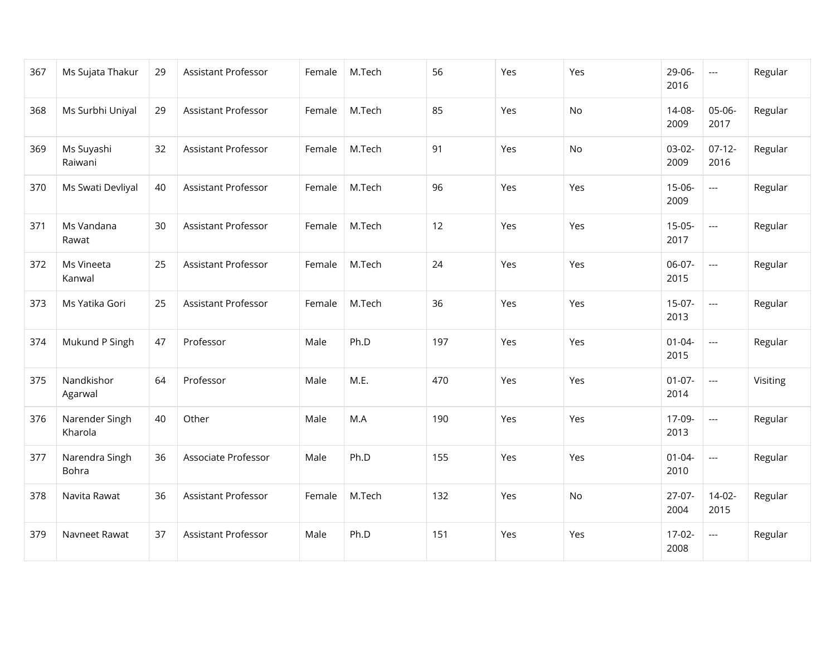| 367 | Ms Sujata Thakur          | 29 | Assistant Professor        | Female | M.Tech | 56  | Yes | Yes | 29-06-<br>2016      | $\hspace{0.05cm} \ldots$ | Regular  |
|-----|---------------------------|----|----------------------------|--------|--------|-----|-----|-----|---------------------|--------------------------|----------|
| 368 | Ms Surbhi Uniyal          | 29 | Assistant Professor        | Female | M.Tech | 85  | Yes | No  | 14-08-<br>2009      | 05-06-<br>2017           | Regular  |
| 369 | Ms Suyashi<br>Raiwani     | 32 | Assistant Professor        | Female | M.Tech | 91  | Yes | No  | $03-02-$<br>2009    | $07-12-$<br>2016         | Regular  |
| 370 | Ms Swati Devliyal         | 40 | Assistant Professor        | Female | M.Tech | 96  | Yes | Yes | $15-06-$<br>2009    | ---                      | Regular  |
| 371 | Ms Vandana<br>Rawat       | 30 | <b>Assistant Professor</b> | Female | M.Tech | 12  | Yes | Yes | $15-05-$<br>2017    | $\overline{\phantom{a}}$ | Regular  |
| 372 | Ms Vineeta<br>Kanwal      | 25 | Assistant Professor        | Female | M.Tech | 24  | Yes | Yes | 06-07-<br>2015      | $\overline{a}$           | Regular  |
| 373 | Ms Yatika Gori            | 25 | Assistant Professor        | Female | M.Tech | 36  | Yes | Yes | $15-07-$<br>2013    | ---                      | Regular  |
| 374 | Mukund P Singh            | 47 | Professor                  | Male   | Ph.D   | 197 | Yes | Yes | $01 - 04 -$<br>2015 | $\overline{a}$           | Regular  |
| 375 | Nandkishor<br>Agarwal     | 64 | Professor                  | Male   | M.E.   | 470 | Yes | Yes | $01-07-$<br>2014    | $\overline{a}$           | Visiting |
| 376 | Narender Singh<br>Kharola | 40 | Other                      | Male   | M.A    | 190 | Yes | Yes | 17-09-<br>2013      | $\overline{a}$           | Regular  |
| 377 | Narendra Singh<br>Bohra   | 36 | Associate Professor        | Male   | Ph.D   | 155 | Yes | Yes | $01 - 04 -$<br>2010 | $---$                    | Regular  |
| 378 | Navita Rawat              | 36 | Assistant Professor        | Female | M.Tech | 132 | Yes | No  | $27-07-$<br>2004    | $14-02-$<br>2015         | Regular  |
| 379 | Navneet Rawat             | 37 | Assistant Professor        | Male   | Ph.D   | 151 | Yes | Yes | $17-02-$<br>2008    | ---                      | Regular  |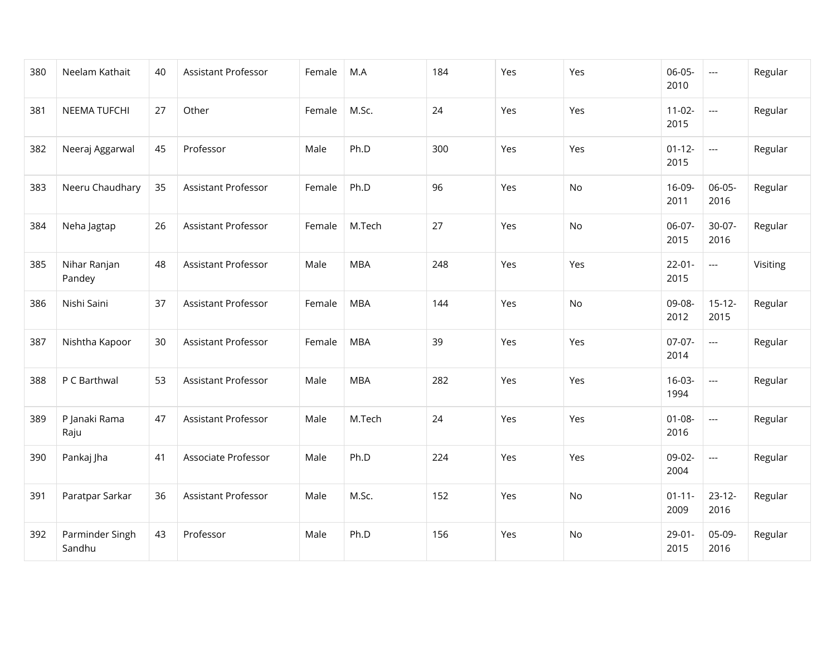| 380 | Neelam Kathait            | 40 | Assistant Professor        | Female | M.A        | 184 | Yes | Yes | $06-05-$<br>2010    | $\overline{\phantom{a}}$ | Regular  |
|-----|---------------------------|----|----------------------------|--------|------------|-----|-----|-----|---------------------|--------------------------|----------|
| 381 | NEEMA TUFCHI              | 27 | Other                      | Female | M.Sc.      | 24  | Yes | Yes | $11-02-$<br>2015    | $\overline{a}$           | Regular  |
| 382 | Neeraj Aggarwal           | 45 | Professor                  | Male   | Ph.D       | 300 | Yes | Yes | $01 - 12 -$<br>2015 | $\hspace{0.05cm} \ldots$ | Regular  |
| 383 | Neeru Chaudhary           | 35 | Assistant Professor        | Female | Ph.D       | 96  | Yes | No  | 16-09-<br>2011      | $06-05-$<br>2016         | Regular  |
| 384 | Neha Jagtap               | 26 | Assistant Professor        | Female | M.Tech     | 27  | Yes | No  | 06-07-<br>2015      | $30-07-$<br>2016         | Regular  |
| 385 | Nihar Ranjan<br>Pandey    | 48 | <b>Assistant Professor</b> | Male   | <b>MBA</b> | 248 | Yes | Yes | $22 - 01 -$<br>2015 | $\overline{a}$           | Visiting |
| 386 | Nishi Saini               | 37 | Assistant Professor        | Female | <b>MBA</b> | 144 | Yes | No  | 09-08-<br>2012      | $15 - 12 -$<br>2015      | Regular  |
| 387 | Nishtha Kapoor            | 30 | Assistant Professor        | Female | <b>MBA</b> | 39  | Yes | Yes | 07-07-<br>2014      | $\overline{a}$           | Regular  |
| 388 | P C Barthwal              | 53 | Assistant Professor        | Male   | <b>MBA</b> | 282 | Yes | Yes | $16-03-$<br>1994    | $\overline{a}$           | Regular  |
| 389 | P Janaki Rama<br>Raju     | 47 | Assistant Professor        | Male   | M.Tech     | 24  | Yes | Yes | $01 - 08 -$<br>2016 | ---                      | Regular  |
| 390 | Pankaj Jha                | 41 | Associate Professor        | Male   | Ph.D       | 224 | Yes | Yes | 09-02-<br>2004      | ---                      | Regular  |
| 391 | Paratpar Sarkar           | 36 | Assistant Professor        | Male   | M.Sc.      | 152 | Yes | No  | $01 - 11 -$<br>2009 | $23 - 12 -$<br>2016      | Regular  |
| 392 | Parminder Singh<br>Sandhu | 43 | Professor                  | Male   | Ph.D       | 156 | Yes | No  | $29 - 01 -$<br>2015 | 05-09-<br>2016           | Regular  |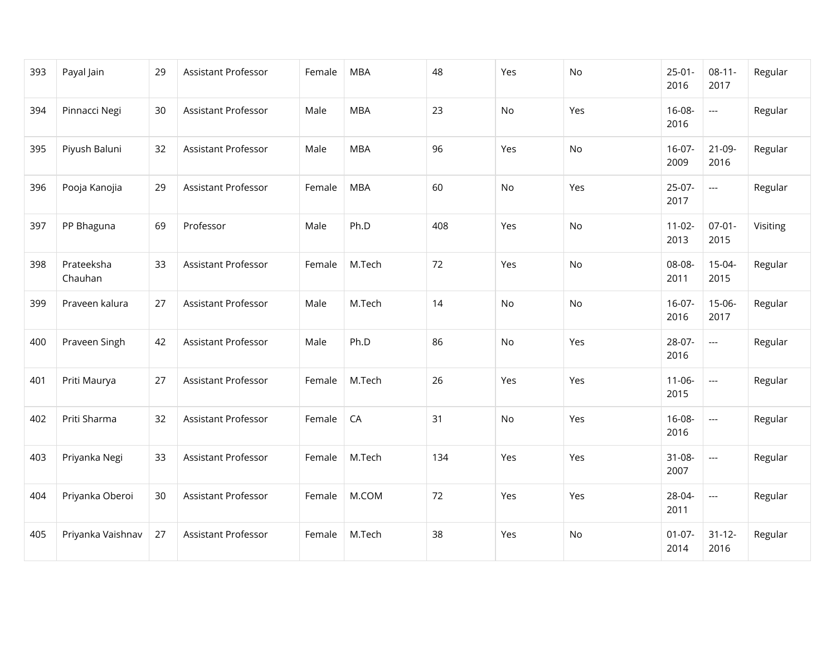| 393 | Payal Jain            | 29 | Assistant Professor        | Female | <b>MBA</b> | 48  | Yes | No  | $25-01-$<br>2016    | $08-11-$<br>2017         | Regular  |
|-----|-----------------------|----|----------------------------|--------|------------|-----|-----|-----|---------------------|--------------------------|----------|
| 394 | Pinnacci Negi         | 30 | Assistant Professor        | Male   | <b>MBA</b> | 23  | No  | Yes | $16 - 08 -$<br>2016 | $\overline{\phantom{a}}$ | Regular  |
| 395 | Piyush Baluni         | 32 | Assistant Professor        | Male   | <b>MBA</b> | 96  | Yes | No  | $16-07-$<br>2009    | $21-09-$<br>2016         | Regular  |
| 396 | Pooja Kanojia         | 29 | <b>Assistant Professor</b> | Female | <b>MBA</b> | 60  | No  | Yes | $25-07-$<br>2017    | $\overline{\phantom{a}}$ | Regular  |
| 397 | PP Bhaguna            | 69 | Professor                  | Male   | Ph.D       | 408 | Yes | No  | $11-02-$<br>2013    | $07 - 01 -$<br>2015      | Visiting |
| 398 | Prateeksha<br>Chauhan | 33 | Assistant Professor        | Female | M.Tech     | 72  | Yes | No  | 08-08-<br>2011      | $15-04-$<br>2015         | Regular  |
| 399 | Praveen kalura        | 27 | Assistant Professor        | Male   | M.Tech     | 14  | No  | No  | $16-07-$<br>2016    | $15-06-$<br>2017         | Regular  |
| 400 | Praveen Singh         | 42 | Assistant Professor        | Male   | Ph.D       | 86  | No  | Yes | 28-07-<br>2016      | $\overline{a}$           | Regular  |
| 401 | Priti Maurya          | 27 | Assistant Professor        | Female | M.Tech     | 26  | Yes | Yes | $11 - 06 -$<br>2015 | $\overline{\phantom{a}}$ | Regular  |
| 402 | Priti Sharma          | 32 | Assistant Professor        | Female | CA         | 31  | No  | Yes | $16 - 08 -$<br>2016 | $\overline{\phantom{a}}$ | Regular  |
| 403 | Priyanka Negi         | 33 | Assistant Professor        | Female | M.Tech     | 134 | Yes | Yes | $31 - 08 -$<br>2007 | $\overline{\phantom{a}}$ | Regular  |
| 404 | Priyanka Oberoi       | 30 | Assistant Professor        | Female | M.COM      | 72  | Yes | Yes | 28-04-<br>2011      | $\overline{\phantom{a}}$ | Regular  |
| 405 | Priyanka Vaishnav     | 27 | <b>Assistant Professor</b> | Female | M.Tech     | 38  | Yes | No  | $01-07-$<br>2014    | $31 - 12 -$<br>2016      | Regular  |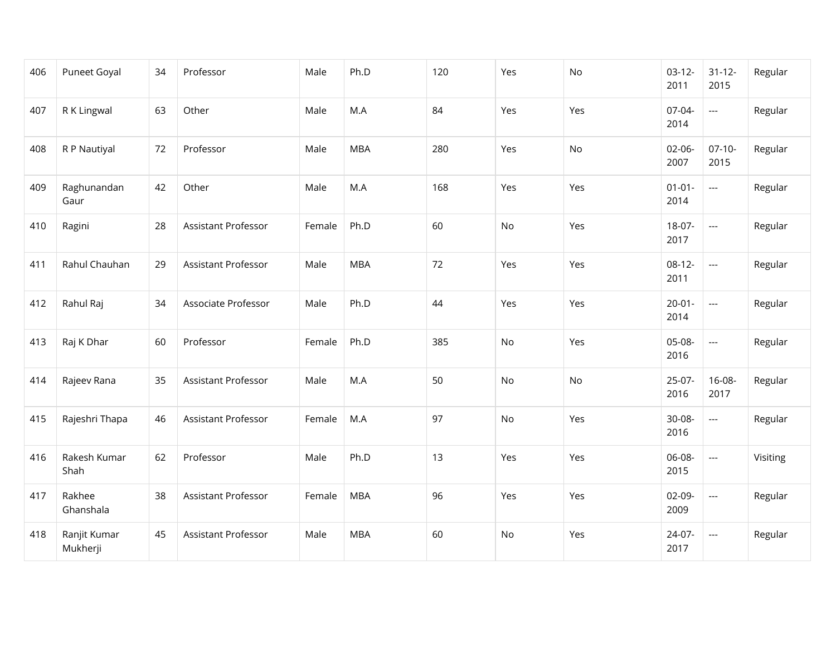| 406 | Puneet Goyal             | 34 | Professor           | Male   | Ph.D       | 120 | Yes | No  | $03-12-$<br>2011    | $31 - 12 -$<br>2015      | Regular  |
|-----|--------------------------|----|---------------------|--------|------------|-----|-----|-----|---------------------|--------------------------|----------|
| 407 | R K Lingwal              | 63 | Other               | Male   | M.A        | 84  | Yes | Yes | 07-04-<br>2014      | $\overline{\phantom{a}}$ | Regular  |
| 408 | R P Nautiyal             | 72 | Professor           | Male   | <b>MBA</b> | 280 | Yes | No  | $02-06-$<br>2007    | $07-10-$<br>2015         | Regular  |
| 409 | Raghunandan<br>Gaur      | 42 | Other               | Male   | M.A        | 168 | Yes | Yes | $01 - 01 -$<br>2014 | $\sim$                   | Regular  |
| 410 | Ragini                   | 28 | Assistant Professor | Female | Ph.D       | 60  | No  | Yes | 18-07-<br>2017      | $\overline{\phantom{a}}$ | Regular  |
| 411 | Rahul Chauhan            | 29 | Assistant Professor | Male   | <b>MBA</b> | 72  | Yes | Yes | $08-12-$<br>2011    | $\overline{\phantom{a}}$ | Regular  |
| 412 | Rahul Raj                | 34 | Associate Professor | Male   | Ph.D       | 44  | Yes | Yes | $20 - 01 -$<br>2014 | $\overline{\phantom{a}}$ | Regular  |
| 413 | Raj K Dhar               | 60 | Professor           | Female | Ph.D       | 385 | No  | Yes | 05-08-<br>2016      | $\overline{\phantom{a}}$ | Regular  |
| 414 | Rajeev Rana              | 35 | Assistant Professor | Male   | M.A        | 50  | No  | No  | $25-07-$<br>2016    | 16-08-<br>2017           | Regular  |
| 415 | Rajeshri Thapa           | 46 | Assistant Professor | Female | M.A        | 97  | No  | Yes | 30-08-<br>2016      | $\overline{a}$           | Regular  |
| 416 | Rakesh Kumar<br>Shah     | 62 | Professor           | Male   | Ph.D       | 13  | Yes | Yes | 06-08-<br>2015      | $\hspace{0.05cm} \ldots$ | Visiting |
| 417 | Rakhee<br>Ghanshala      | 38 | Assistant Professor | Female | <b>MBA</b> | 96  | Yes | Yes | $02-09-$<br>2009    | $\overline{\phantom{a}}$ | Regular  |
| 418 | Ranjit Kumar<br>Mukherji | 45 | Assistant Professor | Male   | <b>MBA</b> | 60  | No  | Yes | 24-07-<br>2017      | $\overline{\phantom{a}}$ | Regular  |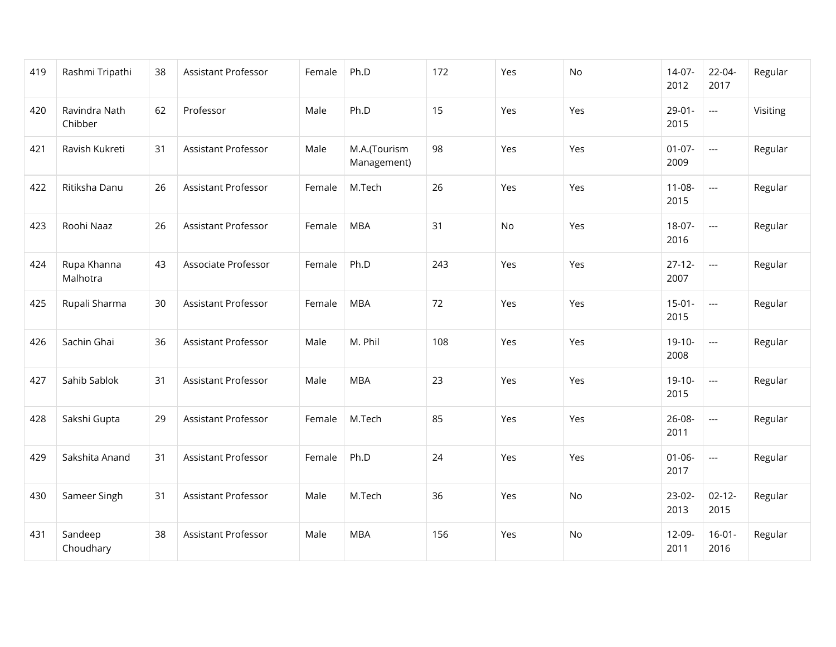| 419 | Rashmi Tripathi          | 38 | Assistant Professor        | Female | Ph.D                        | 172 | Yes | No  | $14-07-$<br>2012    | $22 - 04 -$<br>2017      | Regular  |
|-----|--------------------------|----|----------------------------|--------|-----------------------------|-----|-----|-----|---------------------|--------------------------|----------|
| 420 | Ravindra Nath<br>Chibber | 62 | Professor                  | Male   | Ph.D                        | 15  | Yes | Yes | $29-01-$<br>2015    | $\overline{a}$           | Visiting |
| 421 | Ravish Kukreti           | 31 | <b>Assistant Professor</b> | Male   | M.A.(Tourism<br>Management) | 98  | Yes | Yes | $01-07-$<br>2009    | $\overline{a}$           | Regular  |
| 422 | Ritiksha Danu            | 26 | <b>Assistant Professor</b> | Female | M.Tech                      | 26  | Yes | Yes | $11 - 08 -$<br>2015 | $\overline{a}$           | Regular  |
| 423 | Roohi Naaz               | 26 | <b>Assistant Professor</b> | Female | <b>MBA</b>                  | 31  | No  | Yes | $18-07-$<br>2016    | $\overline{a}$           | Regular  |
| 424 | Rupa Khanna<br>Malhotra  | 43 | Associate Professor        | Female | Ph.D                        | 243 | Yes | Yes | $27 - 12 -$<br>2007 | $\overline{a}$           | Regular  |
| 425 | Rupali Sharma            | 30 | Assistant Professor        | Female | <b>MBA</b>                  | 72  | Yes | Yes | $15-01-$<br>2015    | $\overline{a}$           | Regular  |
| 426 | Sachin Ghai              | 36 | <b>Assistant Professor</b> | Male   | M. Phil                     | 108 | Yes | Yes | $19-10-$<br>2008    | $\overline{a}$           | Regular  |
| 427 | Sahib Sablok             | 31 | Assistant Professor        | Male   | <b>MBA</b>                  | 23  | Yes | Yes | $19-10-$<br>2015    | $\overline{a}$           | Regular  |
| 428 | Sakshi Gupta             | 29 | Assistant Professor        | Female | M.Tech                      | 85  | Yes | Yes | 26-08-<br>2011      | $\hspace{0.05cm} \ldots$ | Regular  |
| 429 | Sakshita Anand           | 31 | Assistant Professor        | Female | Ph.D                        | 24  | Yes | Yes | $01 - 06 -$<br>2017 | $\overline{\phantom{a}}$ | Regular  |
| 430 | Sameer Singh             | 31 | Assistant Professor        | Male   | M.Tech                      | 36  | Yes | No  | $23-02-$<br>2013    | $02 - 12 -$<br>2015      | Regular  |
| 431 | Sandeep<br>Choudhary     | 38 | Assistant Professor        | Male   | <b>MBA</b>                  | 156 | Yes | No  | $12 - 09 -$<br>2011 | $16 - 01 -$<br>2016      | Regular  |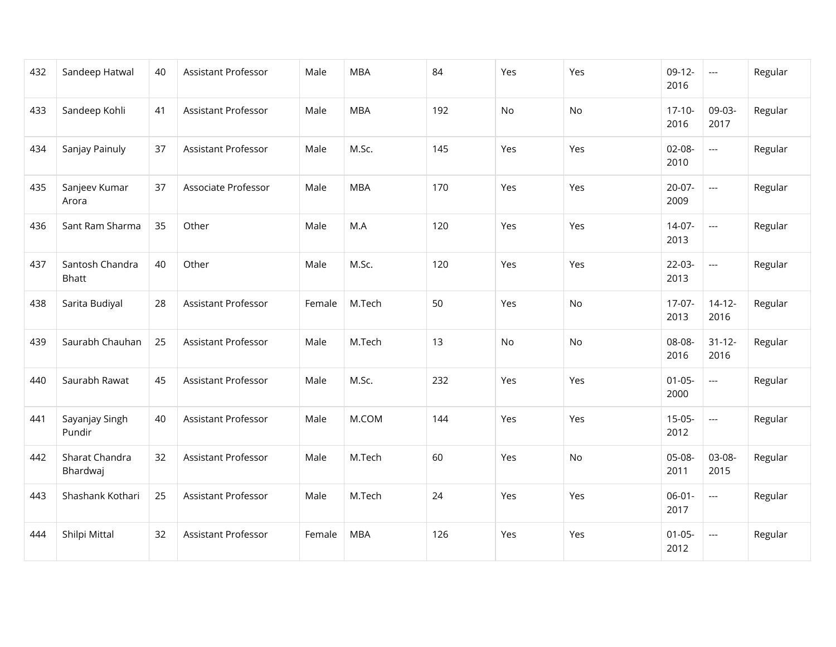| 432 | Sandeep Hatwal                  | 40 | Assistant Professor        | Male   | <b>MBA</b> | 84  | Yes | Yes | $09-12-$<br>2016    | $\hspace{0.05cm} \ldots$ | Regular |
|-----|---------------------------------|----|----------------------------|--------|------------|-----|-----|-----|---------------------|--------------------------|---------|
| 433 | Sandeep Kohli                   | 41 | Assistant Professor        | Male   | <b>MBA</b> | 192 | No  | No  | $17-10-$<br>2016    | 09-03-<br>2017           | Regular |
| 434 | Sanjay Painuly                  | 37 | <b>Assistant Professor</b> | Male   | M.Sc.      | 145 | Yes | Yes | $02-08-$<br>2010    | $\overline{a}$           | Regular |
| 435 | Sanjeev Kumar<br>Arora          | 37 | Associate Professor        | Male   | <b>MBA</b> | 170 | Yes | Yes | $20-07-$<br>2009    | $\overline{\phantom{a}}$ | Regular |
| 436 | Sant Ram Sharma                 | 35 | Other                      | Male   | M.A        | 120 | Yes | Yes | $14-07-$<br>2013    | $\overline{a}$           | Regular |
| 437 | Santosh Chandra<br><b>Bhatt</b> | 40 | Other                      | Male   | M.Sc.      | 120 | Yes | Yes | $22-03-$<br>2013    | $\overline{a}$           | Regular |
| 438 | Sarita Budiyal                  | 28 | Assistant Professor        | Female | M.Tech     | 50  | Yes | No  | $17-07-$<br>2013    | $14 - 12 -$<br>2016      | Regular |
| 439 | Saurabh Chauhan                 | 25 | Assistant Professor        | Male   | M.Tech     | 13  | No  | No  | 08-08-<br>2016      | $31 - 12 -$<br>2016      | Regular |
| 440 | Saurabh Rawat                   | 45 | Assistant Professor        | Male   | M.Sc.      | 232 | Yes | Yes | $01 - 05 -$<br>2000 | $\overline{a}$           | Regular |
| 441 | Sayanjay Singh<br>Pundir        | 40 | Assistant Professor        | Male   | M.COM      | 144 | Yes | Yes | $15-05-$<br>2012    | $\overline{a}$           | Regular |
| 442 | Sharat Chandra<br>Bhardwaj      | 32 | Assistant Professor        | Male   | M.Tech     | 60  | Yes | No  | 05-08-<br>2011      | 03-08-<br>2015           | Regular |
| 443 | Shashank Kothari                | 25 | Assistant Professor        | Male   | M.Tech     | 24  | Yes | Yes | $06 - 01 -$<br>2017 | $\overline{\phantom{a}}$ | Regular |
| 444 | Shilpi Mittal                   | 32 | Assistant Professor        | Female | <b>MBA</b> | 126 | Yes | Yes | $01 - 05 -$<br>2012 | $\overline{\phantom{a}}$ | Regular |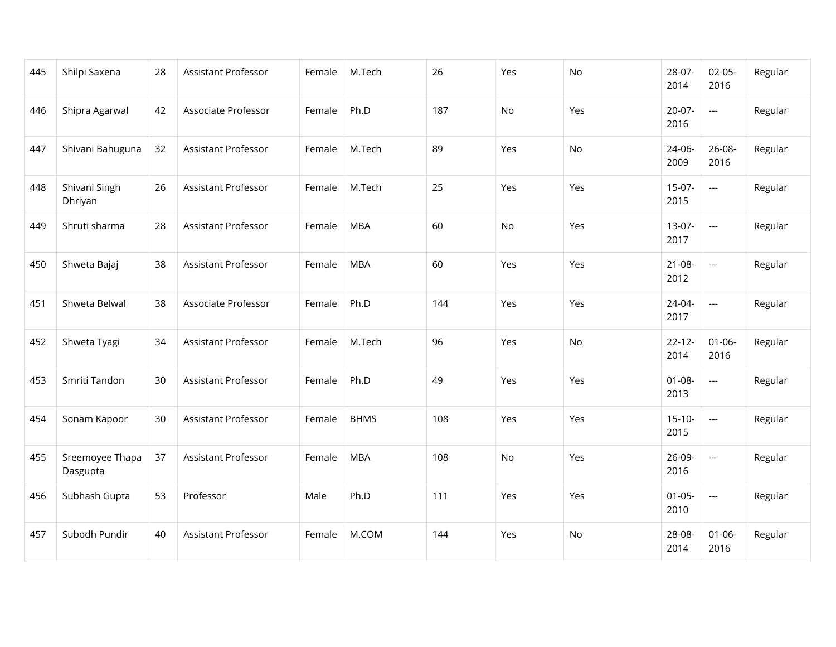| 445 | Shilpi Saxena               | 28 | Assistant Professor        | Female | M.Tech      | 26  | Yes | No  | 28-07-<br>2014      | $02 - 05 -$<br>2016 | Regular |
|-----|-----------------------------|----|----------------------------|--------|-------------|-----|-----|-----|---------------------|---------------------|---------|
| 446 | Shipra Agarwal              | 42 | Associate Professor        | Female | Ph.D        | 187 | No  | Yes | $20-07-$<br>2016    | $\overline{a}$      | Regular |
| 447 | Shivani Bahuguna            | 32 | <b>Assistant Professor</b> | Female | M.Tech      | 89  | Yes | No  | 24-06-<br>2009      | 26-08-<br>2016      | Regular |
| 448 | Shivani Singh<br>Dhriyan    | 26 | Assistant Professor        | Female | M.Tech      | 25  | Yes | Yes | $15-07-$<br>2015    | $\overline{a}$      | Regular |
| 449 | Shruti sharma               | 28 | <b>Assistant Professor</b> | Female | <b>MBA</b>  | 60  | No  | Yes | $13-07-$<br>2017    | $\overline{a}$      | Regular |
| 450 | Shweta Bajaj                | 38 | <b>Assistant Professor</b> | Female | <b>MBA</b>  | 60  | Yes | Yes | $21 - 08 -$<br>2012 | $\overline{a}$      | Regular |
| 451 | Shweta Belwal               | 38 | Associate Professor        | Female | Ph.D        | 144 | Yes | Yes | 24-04-<br>2017      | $---$               | Regular |
| 452 | Shweta Tyagi                | 34 | Assistant Professor        | Female | M.Tech      | 96  | Yes | No. | $22 - 12 -$<br>2014 | $01 - 06 -$<br>2016 | Regular |
| 453 | Smriti Tandon               | 30 | <b>Assistant Professor</b> | Female | Ph.D        | 49  | Yes | Yes | $01 - 08 -$<br>2013 | $\overline{a}$      | Regular |
| 454 | Sonam Kapoor                | 30 | <b>Assistant Professor</b> | Female | <b>BHMS</b> | 108 | Yes | Yes | $15-10-$<br>2015    | $\overline{a}$      | Regular |
| 455 | Sreemoyee Thapa<br>Dasgupta | 37 | <b>Assistant Professor</b> | Female | <b>MBA</b>  | 108 | No  | Yes | 26-09-<br>2016      | $\overline{a}$      | Regular |
| 456 | Subhash Gupta               | 53 | Professor                  | Male   | Ph.D        | 111 | Yes | Yes | $01 - 05 -$<br>2010 | $\overline{a}$      | Regular |
| 457 | Subodh Pundir               | 40 | <b>Assistant Professor</b> | Female | M.COM       | 144 | Yes | No  | 28-08-<br>2014      | $01 - 06 -$<br>2016 | Regular |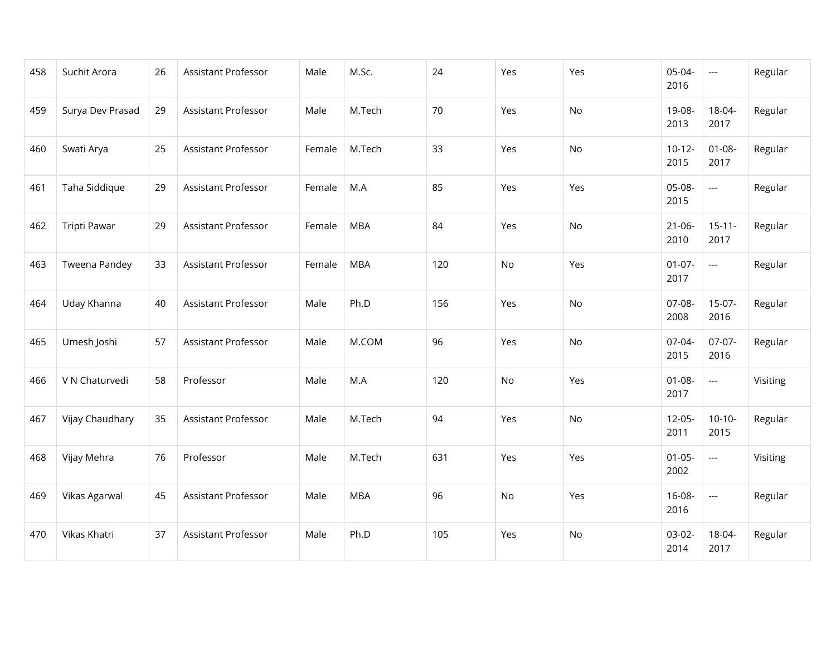| 458 | Suchit Arora     | 26 | Assistant Professor        | Male   | M.Sc.      | 24  | Yes | Yes | 05-04-<br>2016      | $\hspace{0.05cm} \ldots$ | Regular  |
|-----|------------------|----|----------------------------|--------|------------|-----|-----|-----|---------------------|--------------------------|----------|
| 459 | Surya Dev Prasad | 29 | Assistant Professor        | Male   | M.Tech     | 70  | Yes | No  | 19-08-<br>2013      | 18-04-<br>2017           | Regular  |
| 460 | Swati Arya       | 25 | <b>Assistant Professor</b> | Female | M.Tech     | 33  | Yes | No  | $10-12-$<br>2015    | $01 - 08 -$<br>2017      | Regular  |
| 461 | Taha Siddique    | 29 | Assistant Professor        | Female | M.A        | 85  | Yes | Yes | 05-08-<br>2015      | $\hspace{0.05cm} \ldots$ | Regular  |
| 462 | Tripti Pawar     | 29 | <b>Assistant Professor</b> | Female | <b>MBA</b> | 84  | Yes | No  | $21 - 06 -$<br>2010 | $15 - 11 -$<br>2017      | Regular  |
| 463 | Tweena Pandey    | 33 | Assistant Professor        | Female | <b>MBA</b> | 120 | No  | Yes | $01-07-$<br>2017    | $\overline{a}$           | Regular  |
| 464 | Uday Khanna      | 40 | Assistant Professor        | Male   | Ph.D       | 156 | Yes | No  | 07-08-<br>2008      | $15-07-$<br>2016         | Regular  |
| 465 | Umesh Joshi      | 57 | Assistant Professor        | Male   | M.COM      | 96  | Yes | No  | 07-04-<br>2015      | $07-07-$<br>2016         | Regular  |
| 466 | V N Chaturvedi   | 58 | Professor                  | Male   | M.A        | 120 | No  | Yes | $01 - 08 -$<br>2017 | $\overline{\phantom{a}}$ | Visiting |
| 467 | Vijay Chaudhary  | 35 | Assistant Professor        | Male   | M.Tech     | 94  | Yes | No  | $12-05-$<br>2011    | $10-10-$<br>2015         | Regular  |
| 468 | Vijay Mehra      | 76 | Professor                  | Male   | M.Tech     | 631 | Yes | Yes | $01 - 05 -$<br>2002 | $\hspace{0.05cm} \ldots$ | Visiting |
| 469 | Vikas Agarwal    | 45 | Assistant Professor        | Male   | <b>MBA</b> | 96  | No  | Yes | 16-08-<br>2016      | $\overline{\phantom{a}}$ | Regular  |
| 470 | Vikas Khatri     | 37 | Assistant Professor        | Male   | Ph.D       | 105 | Yes | No  | $03-02-$<br>2014    | 18-04-<br>2017           | Regular  |